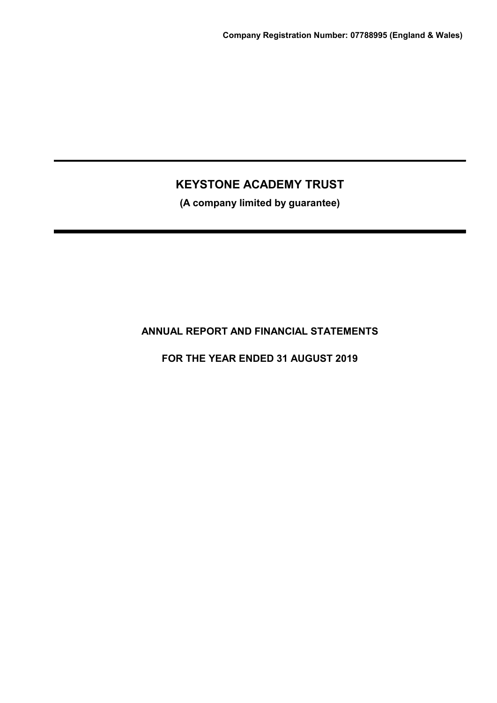(A company limited by guarantee)

# ANNUAL REPORT AND FINANCIAL STATEMENTS

FOR THE YEAR ENDED 31 AUGUST 2019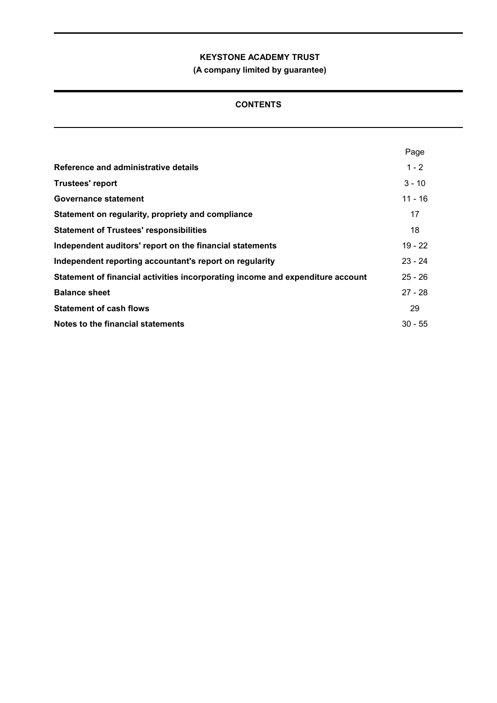(A company limited by guarantee)

# **CONTENTS**

|                                                                                | Page      |
|--------------------------------------------------------------------------------|-----------|
| Reference and administrative details                                           | $1 - 2$   |
| <b>Trustees' report</b>                                                        | $3 - 10$  |
| Governance statement                                                           | $11 - 16$ |
| Statement on regularity, propriety and compliance                              | 17        |
| <b>Statement of Trustees' responsibilities</b>                                 | 18        |
| Independent auditors' report on the financial statements                       | $19 - 22$ |
| Independent reporting accountant's report on regularity                        | $23 - 24$ |
| Statement of financial activities incorporating income and expenditure account | $25 - 26$ |
| <b>Balance sheet</b>                                                           | $27 - 28$ |
| <b>Statement of cash flows</b>                                                 | 29        |
| Notes to the financial statements                                              | $30 - 55$ |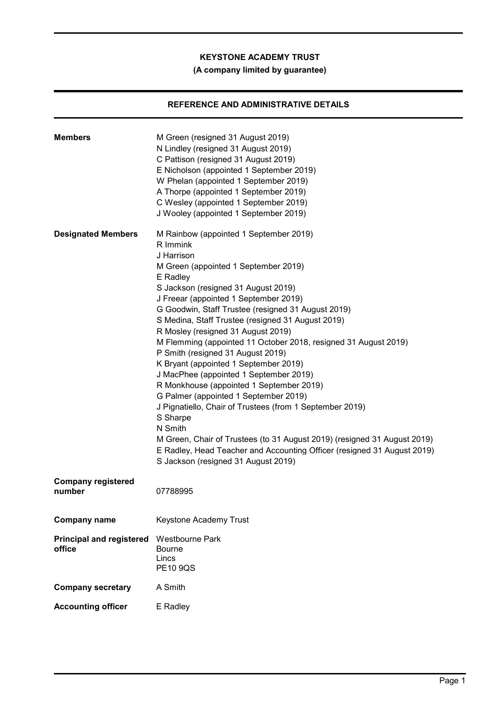# (A company limited by guarantee)

# REFERENCE AND ADMINISTRATIVE DETAILS

| <b>Members</b>                            | M Green (resigned 31 August 2019)<br>N Lindley (resigned 31 August 2019)<br>C Pattison (resigned 31 August 2019)<br>E Nicholson (appointed 1 September 2019)<br>W Phelan (appointed 1 September 2019)<br>A Thorpe (appointed 1 September 2019)<br>C Wesley (appointed 1 September 2019)<br>J Wooley (appointed 1 September 2019)                                                                                                                                                                                                                                                                                                                                                                                                                                                                                                                                                                                       |
|-------------------------------------------|------------------------------------------------------------------------------------------------------------------------------------------------------------------------------------------------------------------------------------------------------------------------------------------------------------------------------------------------------------------------------------------------------------------------------------------------------------------------------------------------------------------------------------------------------------------------------------------------------------------------------------------------------------------------------------------------------------------------------------------------------------------------------------------------------------------------------------------------------------------------------------------------------------------------|
| <b>Designated Members</b>                 | M Rainbow (appointed 1 September 2019)<br>R Immink<br>J Harrison<br>M Green (appointed 1 September 2019)<br>E Radley<br>S Jackson (resigned 31 August 2019)<br>J Freear (appointed 1 September 2019)<br>G Goodwin, Staff Trustee (resigned 31 August 2019)<br>S Medina, Staff Trustee (resigned 31 August 2019)<br>R Mosley (resigned 31 August 2019)<br>M Flemming (appointed 11 October 2018, resigned 31 August 2019)<br>P Smith (resigned 31 August 2019)<br>K Bryant (appointed 1 September 2019)<br>J MacPhee (appointed 1 September 2019)<br>R Monkhouse (appointed 1 September 2019)<br>G Palmer (appointed 1 September 2019)<br>J Pignatiello, Chair of Trustees (from 1 September 2019)<br>S Sharpe<br>N Smith<br>M Green, Chair of Trustees (to 31 August 2019) (resigned 31 August 2019)<br>E Radley, Head Teacher and Accounting Officer (resigned 31 August 2019)<br>S Jackson (resigned 31 August 2019) |
| <b>Company registered</b><br>number       | 07788995                                                                                                                                                                                                                                                                                                                                                                                                                                                                                                                                                                                                                                                                                                                                                                                                                                                                                                               |
| Company name                              | Keystone Academy Trust                                                                                                                                                                                                                                                                                                                                                                                                                                                                                                                                                                                                                                                                                                                                                                                                                                                                                                 |
| <b>Principal and registered</b><br>office | <b>Westbourne Park</b><br><b>Bourne</b><br>Lincs<br><b>PE10 9QS</b>                                                                                                                                                                                                                                                                                                                                                                                                                                                                                                                                                                                                                                                                                                                                                                                                                                                    |
| <b>Company secretary</b>                  | A Smith                                                                                                                                                                                                                                                                                                                                                                                                                                                                                                                                                                                                                                                                                                                                                                                                                                                                                                                |
| <b>Accounting officer</b>                 | E Radley                                                                                                                                                                                                                                                                                                                                                                                                                                                                                                                                                                                                                                                                                                                                                                                                                                                                                                               |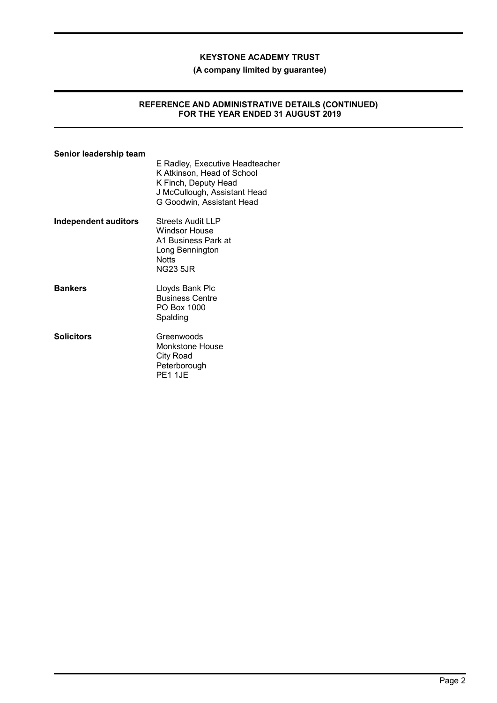#### (A company limited by guarantee)

### REFERENCE AND ADMINISTRATIVE DETAILS (CONTINUED) FOR THE YEAR ENDED 31 AUGUST 2019

# Senior leadership team E Radley, Executive Headteacher K Atkinson, Head of School K Finch, Deputy Head J McCullough, Assistant Head G Goodwin, Assistant Head Independent auditors Streets Audit LLP Windsor House A1 Business Park at Long Bennington **Notts** NG23 5JR Bankers **Example 2** Lloyds Bank Plc Business Centre PO Box 1000 Spalding Solicitors Greenwoods Monkstone House City Road Peterborough PE1 1JE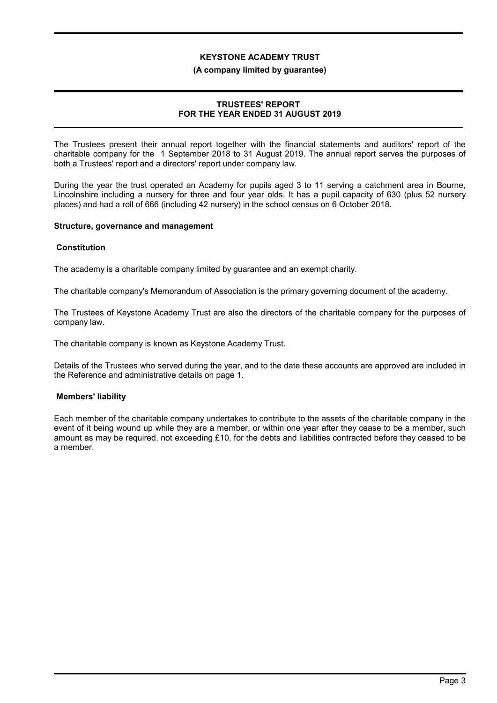#### (A company limited by guarantee)

## TRUSTEES' REPORT FOR THE YEAR ENDED 31 AUGUST 2019

The Trustees present their annual report together with the financial statements and auditors' report of the charitable company for the 1 September 2018 to 31 August 2019. The annual report serves the purposes of both a Trustees' report and a directors' report under company law.

During the year the trust operated an Academy for pupils aged 3 to 11 serving a catchment area in Bourne, Lincolnshire including a nursery for three and four year olds. It has a pupil capacity of 630 (plus 52 nursery places) and had a roll of 666 (including 42 nursery) in the school census on 6 October 2018.

#### Structure, governance and management

#### Constitution

The academy is a charitable company limited by guarantee and an exempt charity.

The charitable company's Memorandum of Association is the primary governing document of the academy.

The Trustees of Keystone Academy Trust are also the directors of the charitable company for the purposes of company law.

The charitable company is known as Keystone Academy Trust.

Details of the Trustees who served during the year, and to the date these accounts are approved are included in the Reference and administrative details on page 1.

## Members' liability

Each member of the charitable company undertakes to contribute to the assets of the charitable company in the event of it being wound up while they are a member, or within one year after they cease to be a member, such amount as may be required, not exceeding £10, for the debts and liabilities contracted before they ceased to be a member.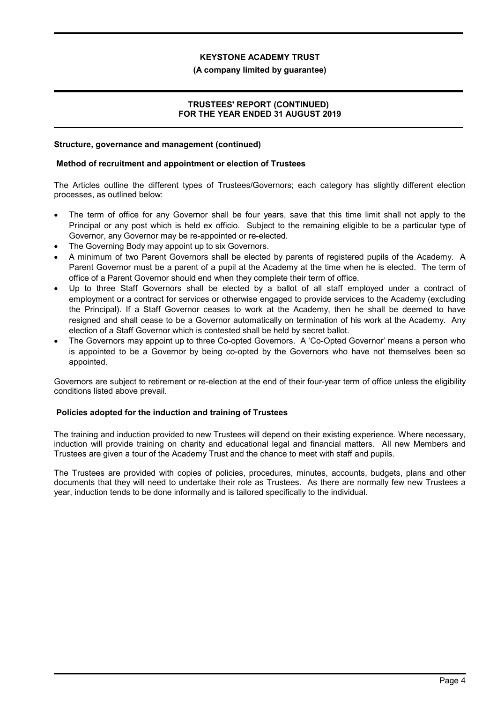#### (A company limited by guarantee)

## TRUSTEES' REPORT (CONTINUED) FOR THE YEAR ENDED 31 AUGUST 2019

## Structure, governance and management (continued)

### Method of recruitment and appointment or election of Trustees

The Articles outline the different types of Trustees/Governors; each category has slightly different election processes, as outlined below:

- The term of office for any Governor shall be four years, save that this time limit shall not apply to the Principal or any post which is held ex officio. Subject to the remaining eligible to be a particular type of Governor, any Governor may be re-appointed or re-elected.
- The Governing Body may appoint up to six Governors.
- A minimum of two Parent Governors shall be elected by parents of registered pupils of the Academy. A Parent Governor must be a parent of a pupil at the Academy at the time when he is elected. The term of office of a Parent Governor should end when they complete their term of office.
- Up to three Staff Governors shall be elected by a ballot of all staff employed under a contract of employment or a contract for services or otherwise engaged to provide services to the Academy (excluding the Principal). If a Staff Governor ceases to work at the Academy, then he shall be deemed to have resigned and shall cease to be a Governor automatically on termination of his work at the Academy. Any election of a Staff Governor which is contested shall be held by secret ballot.
- The Governors may appoint up to three Co-opted Governors. A 'Co-Opted Governor' means a person who is appointed to be a Governor by being co-opted by the Governors who have not themselves been so appointed.

Governors are subject to retirement or re-election at the end of their four-year term of office unless the eligibility conditions listed above prevail.

## Policies adopted for the induction and training of Trustees

The training and induction provided to new Trustees will depend on their existing experience. Where necessary, induction will provide training on charity and educational legal and financial matters. All new Members and Trustees are given a tour of the Academy Trust and the chance to meet with staff and pupils.

The Trustees are provided with copies of policies, procedures, minutes, accounts, budgets, plans and other documents that they will need to undertake their role as Trustees. As there are normally few new Trustees a year, induction tends to be done informally and is tailored specifically to the individual.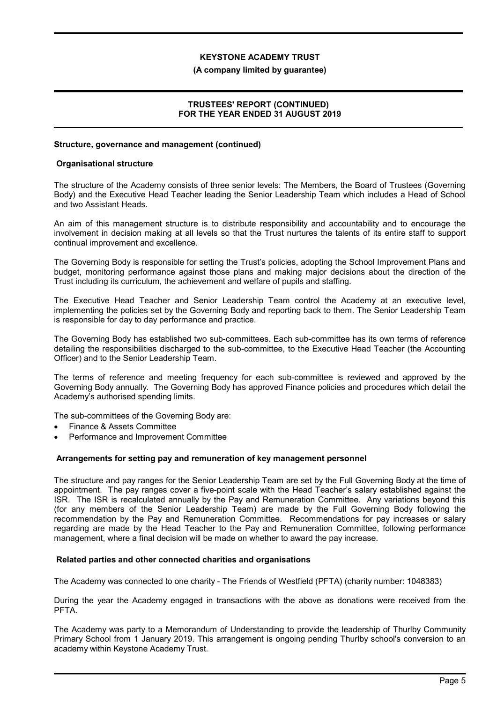#### (A company limited by guarantee)

## TRUSTEES' REPORT (CONTINUED) FOR THE YEAR ENDED 31 AUGUST 2019

# Structure, governance and management (continued)

#### Organisational structure

The structure of the Academy consists of three senior levels: The Members, the Board of Trustees (Governing Body) and the Executive Head Teacher leading the Senior Leadership Team which includes a Head of School and two Assistant Heads.

An aim of this management structure is to distribute responsibility and accountability and to encourage the involvement in decision making at all levels so that the Trust nurtures the talents of its entire staff to support continual improvement and excellence.

The Governing Body is responsible for setting the Trust's policies, adopting the School Improvement Plans and budget, monitoring performance against those plans and making major decisions about the direction of the Trust including its curriculum, the achievement and welfare of pupils and staffing.

The Executive Head Teacher and Senior Leadership Team control the Academy at an executive level, implementing the policies set by the Governing Body and reporting back to them. The Senior Leadership Team is responsible for day to day performance and practice.

The Governing Body has established two sub-committees. Each sub-committee has its own terms of reference detailing the responsibilities discharged to the sub-committee, to the Executive Head Teacher (the Accounting Officer) and to the Senior Leadership Team.

The terms of reference and meeting frequency for each sub-committee is reviewed and approved by the Governing Body annually. The Governing Body has approved Finance policies and procedures which detail the Academy's authorised spending limits.

The sub-committees of the Governing Body are:

- Finance & Assets Committee
- Performance and Improvement Committee

## Arrangements for setting pay and remuneration of key management personnel

The structure and pay ranges for the Senior Leadership Team are set by the Full Governing Body at the time of appointment. The pay ranges cover a five-point scale with the Head Teacher's salary established against the ISR. The ISR is recalculated annually by the Pay and Remuneration Committee. Any variations beyond this (for any members of the Senior Leadership Team) are made by the Full Governing Body following the recommendation by the Pay and Remuneration Committee. Recommendations for pay increases or salary regarding are made by the Head Teacher to the Pay and Remuneration Committee, following performance management, where a final decision will be made on whether to award the pay increase.

#### Related parties and other connected charities and organisations

The Academy was connected to one charity - The Friends of Westfield (PFTA) (charity number: 1048383)

During the year the Academy engaged in transactions with the above as donations were received from the PFTA<sup>.</sup>

The Academy was party to a Memorandum of Understanding to provide the leadership of Thurlby Community Primary School from 1 January 2019. This arrangement is ongoing pending Thurlby school's conversion to an academy within Keystone Academy Trust.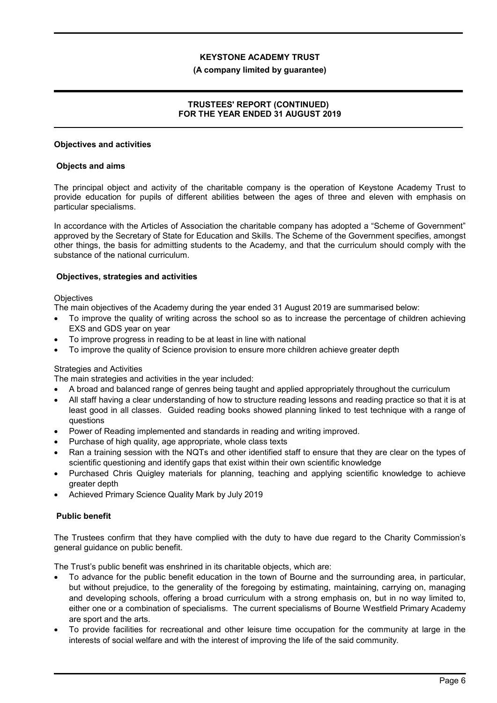#### (A company limited by guarantee)

## TRUSTEES' REPORT (CONTINUED) FOR THE YEAR ENDED 31 AUGUST 2019

#### Objectives and activities

#### Objects and aims

The principal object and activity of the charitable company is the operation of Keystone Academy Trust to provide education for pupils of different abilities between the ages of three and eleven with emphasis on particular specialisms.

In accordance with the Articles of Association the charitable company has adopted a "Scheme of Government" approved by the Secretary of State for Education and Skills. The Scheme of the Government specifies, amongst other things, the basis for admitting students to the Academy, and that the curriculum should comply with the substance of the national curriculum.

## Objectives, strategies and activities

#### **Objectives**

The main objectives of the Academy during the year ended 31 August 2019 are summarised below:

- To improve the quality of writing across the school so as to increase the percentage of children achieving EXS and GDS year on year
- To improve progress in reading to be at least in line with national
- To improve the quality of Science provision to ensure more children achieve greater depth

## Strategies and Activities

The main strategies and activities in the year included:

- A broad and balanced range of genres being taught and applied appropriately throughout the curriculum
- All staff having a clear understanding of how to structure reading lessons and reading practice so that it is at least good in all classes. Guided reading books showed planning linked to test technique with a range of questions
- Power of Reading implemented and standards in reading and writing improved.
- Purchase of high quality, age appropriate, whole class texts
- Ran a training session with the NQTs and other identified staff to ensure that they are clear on the types of scientific questioning and identify gaps that exist within their own scientific knowledge
- Purchased Chris Quigley materials for planning, teaching and applying scientific knowledge to achieve greater depth
- Achieved Primary Science Quality Mark by July 2019

## Public benefit

The Trustees confirm that they have complied with the duty to have due regard to the Charity Commission's general guidance on public benefit.

The Trust's public benefit was enshrined in its charitable objects, which are:

- To advance for the public benefit education in the town of Bourne and the surrounding area, in particular, but without prejudice, to the generality of the foregoing by estimating, maintaining, carrying on, managing and developing schools, offering a broad curriculum with a strong emphasis on, but in no way limited to, either one or a combination of specialisms. The current specialisms of Bourne Westfield Primary Academy are sport and the arts.
- To provide facilities for recreational and other leisure time occupation for the community at large in the interests of social welfare and with the interest of improving the life of the said community.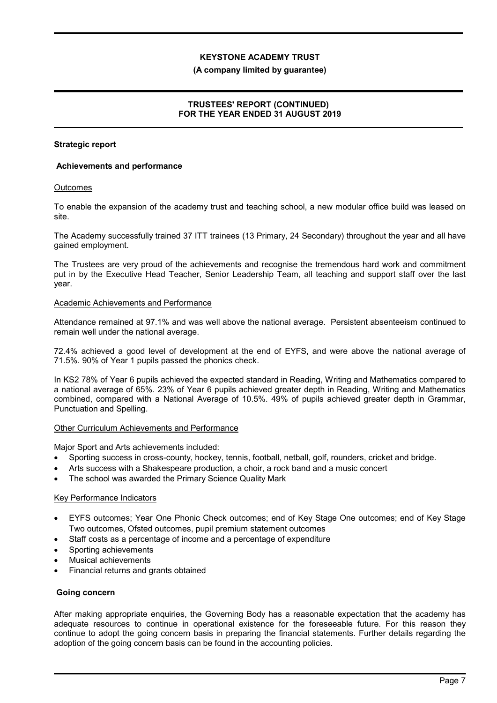#### (A company limited by guarantee)

## TRUSTEES' REPORT (CONTINUED) FOR THE YEAR ENDED 31 AUGUST 2019

#### Strategic report

#### Achievements and performance

#### **Outcomes**

To enable the expansion of the academy trust and teaching school, a new modular office build was leased on site.

The Academy successfully trained 37 ITT trainees (13 Primary, 24 Secondary) throughout the year and all have gained employment.

The Trustees are very proud of the achievements and recognise the tremendous hard work and commitment put in by the Executive Head Teacher, Senior Leadership Team, all teaching and support staff over the last year.

#### Academic Achievements and Performance

Attendance remained at 97.1% and was well above the national average. Persistent absenteeism continued to remain well under the national average.

72.4% achieved a good level of development at the end of EYFS, and were above the national average of 71.5%. 90% of Year 1 pupils passed the phonics check.

In KS2 78% of Year 6 pupils achieved the expected standard in Reading, Writing and Mathematics compared to a national average of 65%. 23% of Year 6 pupils achieved greater depth in Reading, Writing and Mathematics combined, compared with a National Average of 10.5%. 49% of pupils achieved greater depth in Grammar, Punctuation and Spelling.

#### Other Curriculum Achievements and Performance

Major Sport and Arts achievements included:

- Sporting success in cross-county, hockey, tennis, football, netball, golf, rounders, cricket and bridge.
- Arts success with a Shakespeare production, a choir, a rock band and a music concert
- The school was awarded the Primary Science Quality Mark

#### Key Performance Indicators

- EYFS outcomes; Year One Phonic Check outcomes; end of Key Stage One outcomes; end of Key Stage Two outcomes, Ofsted outcomes, pupil premium statement outcomes
- Staff costs as a percentage of income and a percentage of expenditure
- Sporting achievements
- Musical achievements
- Financial returns and grants obtained

#### Going concern

After making appropriate enquiries, the Governing Body has a reasonable expectation that the academy has adequate resources to continue in operational existence for the foreseeable future. For this reason they continue to adopt the going concern basis in preparing the financial statements. Further details regarding the adoption of the going concern basis can be found in the accounting policies.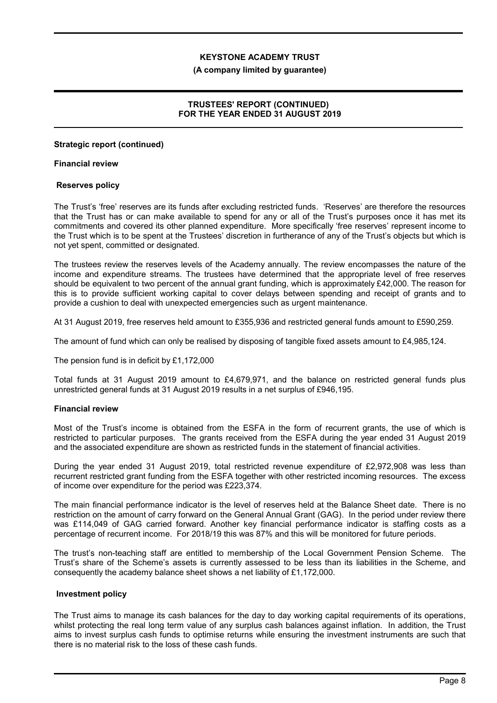#### (A company limited by guarantee)

## TRUSTEES' REPORT (CONTINUED) FOR THE YEAR ENDED 31 AUGUST 2019

#### Strategic report (continued)

#### Financial review

#### Reserves policy

The Trust's 'free' reserves are its funds after excluding restricted funds. 'Reserves' are therefore the resources that the Trust has or can make available to spend for any or all of the Trust's purposes once it has met its commitments and covered its other planned expenditure. More specifically 'free reserves' represent income to the Trust which is to be spent at the Trustees' discretion in furtherance of any of the Trust's objects but which is not yet spent, committed or designated.

The trustees review the reserves levels of the Academy annually. The review encompasses the nature of the income and expenditure streams. The trustees have determined that the appropriate level of free reserves should be equivalent to two percent of the annual grant funding, which is approximately £42,000. The reason for this is to provide sufficient working capital to cover delays between spending and receipt of grants and to provide a cushion to deal with unexpected emergencies such as urgent maintenance.

At 31 August 2019, free reserves held amount to £355,936 and restricted general funds amount to £590,259.

The amount of fund which can only be realised by disposing of tangible fixed assets amount to £4,985,124.

The pension fund is in deficit by £1,172,000

Total funds at 31 August 2019 amount to £4,679,971, and the balance on restricted general funds plus unrestricted general funds at 31 August 2019 results in a net surplus of £946,195.

#### Financial review

Most of the Trust's income is obtained from the ESFA in the form of recurrent grants, the use of which is restricted to particular purposes. The grants received from the ESFA during the year ended 31 August 2019 and the associated expenditure are shown as restricted funds in the statement of financial activities.

During the year ended 31 August 2019, total restricted revenue expenditure of £2,972,908 was less than recurrent restricted grant funding from the ESFA together with other restricted incoming resources. The excess of income over expenditure for the period was £223,374.

The main financial performance indicator is the level of reserves held at the Balance Sheet date. There is no restriction on the amount of carry forward on the General Annual Grant (GAG). In the period under review there was £114,049 of GAG carried forward. Another key financial performance indicator is staffing costs as a percentage of recurrent income. For 2018/19 this was 87% and this will be monitored for future periods.

The trust's non-teaching staff are entitled to membership of the Local Government Pension Scheme. The Trust's share of the Scheme's assets is currently assessed to be less than its liabilities in the Scheme, and consequently the academy balance sheet shows a net liability of £1,172,000.

#### Investment policy

The Trust aims to manage its cash balances for the day to day working capital requirements of its operations, whilst protecting the real long term value of any surplus cash balances against inflation. In addition, the Trust aims to invest surplus cash funds to optimise returns while ensuring the investment instruments are such that there is no material risk to the loss of these cash funds.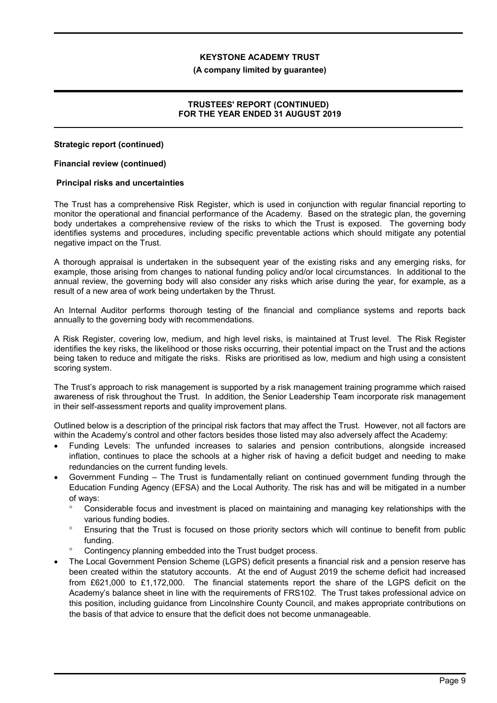#### (A company limited by guarantee)

## TRUSTEES' REPORT (CONTINUED) FOR THE YEAR ENDED 31 AUGUST 2019

## Strategic report (continued)

#### Financial review (continued)

#### Principal risks and uncertainties

The Trust has a comprehensive Risk Register, which is used in conjunction with regular financial reporting to monitor the operational and financial performance of the Academy. Based on the strategic plan, the governing body undertakes a comprehensive review of the risks to which the Trust is exposed. The governing body identifies systems and procedures, including specific preventable actions which should mitigate any potential negative impact on the Trust.

A thorough appraisal is undertaken in the subsequent year of the existing risks and any emerging risks, for example, those arising from changes to national funding policy and/or local circumstances. In additional to the annual review, the governing body will also consider any risks which arise during the year, for example, as a result of a new area of work being undertaken by the Thrust.

An Internal Auditor performs thorough testing of the financial and compliance systems and reports back annually to the governing body with recommendations.

A Risk Register, covering low, medium, and high level risks, is maintained at Trust level. The Risk Register identifies the key risks, the likelihood or those risks occurring, their potential impact on the Trust and the actions being taken to reduce and mitigate the risks. Risks are prioritised as low, medium and high using a consistent scoring system.

The Trust's approach to risk management is supported by a risk management training programme which raised awareness of risk throughout the Trust. In addition, the Senior Leadership Team incorporate risk management in their self-assessment reports and quality improvement plans.

Outlined below is a description of the principal risk factors that may affect the Trust. However, not all factors are within the Academy's control and other factors besides those listed may also adversely affect the Academy:

- Funding Levels: The unfunded increases to salaries and pension contributions, alongside increased inflation, continues to place the schools at a higher risk of having a deficit budget and needing to make redundancies on the current funding levels.
- Government Funding The Trust is fundamentally reliant on continued government funding through the Education Funding Agency (EFSA) and the Local Authority. The risk has and will be mitigated in a number of ways:
	- Considerable focus and investment is placed on maintaining and managing key relationships with the various funding bodies.
	- Ensuring that the Trust is focused on those priority sectors which will continue to benefit from public funding.
	- <sup>o</sup> Contingency planning embedded into the Trust budget process.
- The Local Government Pension Scheme (LGPS) deficit presents a financial risk and a pension reserve has been created within the statutory accounts. At the end of August 2019 the scheme deficit had increased from £621,000 to £1,172,000. The financial statements report the share of the LGPS deficit on the Academy's balance sheet in line with the requirements of FRS102. The Trust takes professional advice on this position, including guidance from Lincolnshire County Council, and makes appropriate contributions on the basis of that advice to ensure that the deficit does not become unmanageable.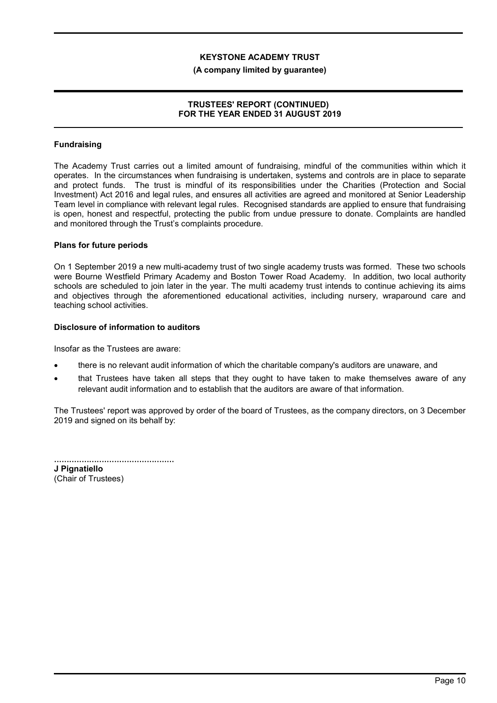#### (A company limited by guarantee)

### TRUSTEES' REPORT (CONTINUED) FOR THE YEAR ENDED 31 AUGUST 2019

## Fundraising

The Academy Trust carries out a limited amount of fundraising, mindful of the communities within which it operates. In the circumstances when fundraising is undertaken, systems and controls are in place to separate and protect funds. The trust is mindful of its responsibilities under the Charities (Protection and Social Investment) Act 2016 and legal rules, and ensures all activities are agreed and monitored at Senior Leadership Team level in compliance with relevant legal rules. Recognised standards are applied to ensure that fundraising is open, honest and respectful, protecting the public from undue pressure to donate. Complaints are handled and monitored through the Trust's complaints procedure.

#### Plans for future periods

On 1 September 2019 a new multi-academy trust of two single academy trusts was formed. These two schools were Bourne Westfield Primary Academy and Boston Tower Road Academy. In addition, two local authority schools are scheduled to join later in the year. The multi academy trust intends to continue achieving its aims and objectives through the aforementioned educational activities, including nursery, wraparound care and teaching school activities.

#### Disclosure of information to auditors

Insofar as the Trustees are aware:

- there is no relevant audit information of which the charitable company's auditors are unaware, and
- that Trustees have taken all steps that they ought to have taken to make themselves aware of any relevant audit information and to establish that the auditors are aware of that information.

The Trustees' report was approved by order of the board of Trustees, as the company directors, on 3 December 2019 and signed on its behalf by:

................................................ J Pignatiello (Chair of Trustees)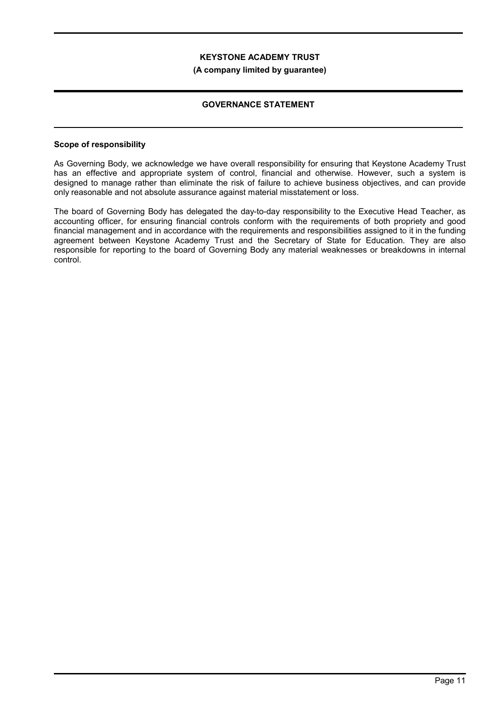#### (A company limited by guarantee)

## GOVERNANCE STATEMENT

#### Scope of responsibility

As Governing Body, we acknowledge we have overall responsibility for ensuring that Keystone Academy Trust has an effective and appropriate system of control, financial and otherwise. However, such a system is designed to manage rather than eliminate the risk of failure to achieve business objectives, and can provide only reasonable and not absolute assurance against material misstatement or loss.

The board of Governing Body has delegated the day-to-day responsibility to the Executive Head Teacher, as accounting officer, for ensuring financial controls conform with the requirements of both propriety and good financial management and in accordance with the requirements and responsibilities assigned to it in the funding agreement between Keystone Academy Trust and the Secretary of State for Education. They are also responsible for reporting to the board of Governing Body any material weaknesses or breakdowns in internal control.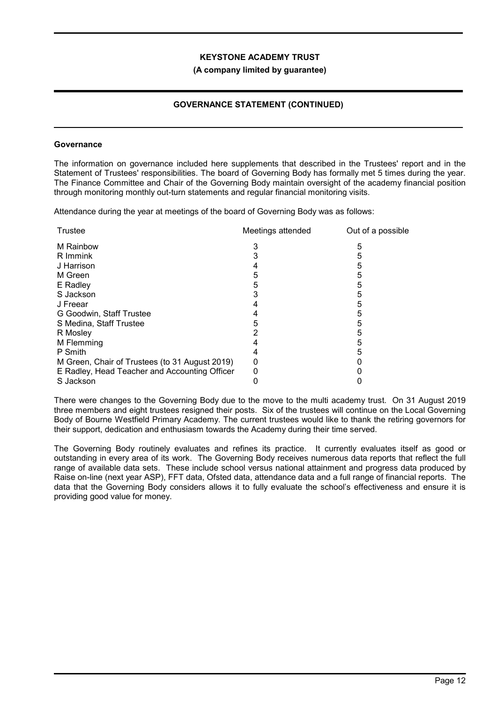#### (A company limited by guarantee)

# GOVERNANCE STATEMENT (CONTINUED)

#### **Governance**

The information on governance included here supplements that described in the Trustees' report and in the Statement of Trustees' responsibilities. The board of Governing Body has formally met 5 times during the year. The Finance Committee and Chair of the Governing Body maintain oversight of the academy financial position through monitoring monthly out-turn statements and regular financial monitoring visits.

Attendance during the year at meetings of the board of Governing Body was as follows:

| Trustee                                        | Meetings attended | Out of a possible |
|------------------------------------------------|-------------------|-------------------|
| M Rainbow                                      |                   | 5                 |
| R Immink                                       |                   | 5                 |
| J Harrison                                     |                   | 5                 |
| M Green                                        | 5                 | 5                 |
| E Radley                                       | 5                 | 5                 |
| S Jackson                                      |                   |                   |
| J Freear                                       |                   |                   |
| G Goodwin, Staff Trustee                       |                   |                   |
| S Medina, Staff Trustee                        | 5                 | 5                 |
| R Mosley                                       |                   | 5                 |
| M Flemming                                     |                   | 5                 |
| P Smith                                        |                   |                   |
| M Green, Chair of Trustees (to 31 August 2019) | 0                 |                   |
| E Radley, Head Teacher and Accounting Officer  |                   |                   |
| S Jackson                                      |                   |                   |

There were changes to the Governing Body due to the move to the multi academy trust. On 31 August 2019 three members and eight trustees resigned their posts. Six of the trustees will continue on the Local Governing Body of Bourne Westfield Primary Academy. The current trustees would like to thank the retiring governors for their support, dedication and enthusiasm towards the Academy during their time served.

The Governing Body routinely evaluates and refines its practice. It currently evaluates itself as good or outstanding in every area of its work. The Governing Body receives numerous data reports that reflect the full range of available data sets. These include school versus national attainment and progress data produced by Raise on-line (next year ASP), FFT data, Ofsted data, attendance data and a full range of financial reports. The data that the Governing Body considers allows it to fully evaluate the school's effectiveness and ensure it is providing good value for money.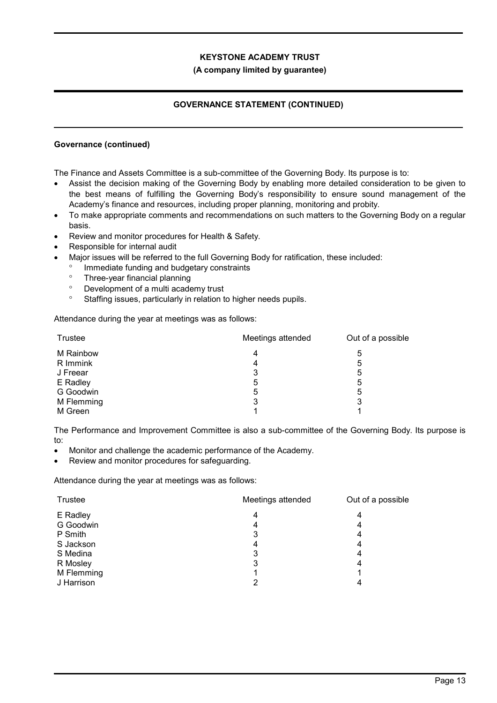## (A company limited by guarantee)

# GOVERNANCE STATEMENT (CONTINUED)

## Governance (continued)

The Finance and Assets Committee is a sub-committee of the Governing Body. Its purpose is to:

- Assist the decision making of the Governing Body by enabling more detailed consideration to be given to the best means of fulfilling the Governing Body's responsibility to ensure sound management of the Academy's finance and resources, including proper planning, monitoring and probity.
- To make appropriate comments and recommendations on such matters to the Governing Body on a regular basis.
- Review and monitor procedures for Health & Safety.
- Responsible for internal audit
- Major issues will be referred to the full Governing Body for ratification, these included:
	- Immediate funding and budgetary constraints
	- Three-year financial planning
	- Development of a multi academy trust
	- <sup>o</sup> Staffing issues, particularly in relation to higher needs pupils.

Attendance during the year at meetings was as follows:

| Trustee    | Meetings attended | Out of a possible |  |
|------------|-------------------|-------------------|--|
| M Rainbow  | 4                 | 5                 |  |
| R Immink   | 4                 | 5                 |  |
| J Freear   | 3                 | 5                 |  |
| E Radley   | 5                 | 5                 |  |
| G Goodwin  | 5                 | 5                 |  |
| M Flemming | 3                 | 3                 |  |
| M Green    |                   |                   |  |

The Performance and Improvement Committee is also a sub-committee of the Governing Body. Its purpose is to:

- Monitor and challenge the academic performance of the Academy.
- Review and monitor procedures for safeguarding.

Attendance during the year at meetings was as follows:

| Trustee    | Meetings attended | Out of a possible |
|------------|-------------------|-------------------|
| E Radley   | 4                 | 4                 |
| G Goodwin  | 4                 | 4                 |
| P Smith    | 3                 | 4                 |
| S Jackson  | 4                 | 4                 |
| S Medina   | 3                 | 4                 |
| R Mosley   | 3                 | 4                 |
| M Flemming |                   |                   |
| J Harrison | 2                 | 4                 |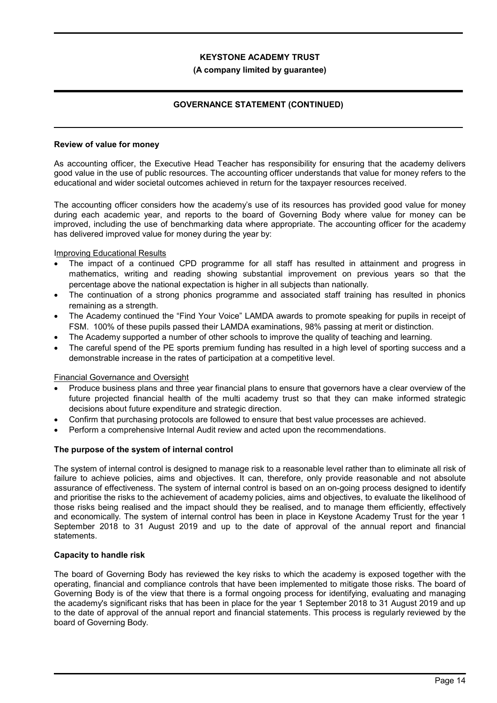#### (A company limited by guarantee)

# GOVERNANCE STATEMENT (CONTINUED)

#### Review of value for money

As accounting officer, the Executive Head Teacher has responsibility for ensuring that the academy delivers good value in the use of public resources. The accounting officer understands that value for money refers to the educational and wider societal outcomes achieved in return for the taxpayer resources received.

The accounting officer considers how the academy's use of its resources has provided good value for money during each academic year, and reports to the board of Governing Body where value for money can be improved, including the use of benchmarking data where appropriate. The accounting officer for the academy has delivered improved value for money during the year by:

#### Improving Educational Results

- The impact of a continued CPD programme for all staff has resulted in attainment and progress in mathematics, writing and reading showing substantial improvement on previous years so that the percentage above the national expectation is higher in all subjects than nationally.
- The continuation of a strong phonics programme and associated staff training has resulted in phonics remaining as a strength.
- The Academy continued the "Find Your Voice" LAMDA awards to promote speaking for pupils in receipt of FSM. 100% of these pupils passed their LAMDA examinations, 98% passing at merit or distinction.
- The Academy supported a number of other schools to improve the quality of teaching and learning.
- The careful spend of the PE sports premium funding has resulted in a high level of sporting success and a demonstrable increase in the rates of participation at a competitive level.

#### Financial Governance and Oversight

- Produce business plans and three year financial plans to ensure that governors have a clear overview of the future projected financial health of the multi academy trust so that they can make informed strategic decisions about future expenditure and strategic direction.
- Confirm that purchasing protocols are followed to ensure that best value processes are achieved.
- Perform a comprehensive Internal Audit review and acted upon the recommendations.

#### The purpose of the system of internal control

The system of internal control is designed to manage risk to a reasonable level rather than to eliminate all risk of failure to achieve policies, aims and objectives. It can, therefore, only provide reasonable and not absolute assurance of effectiveness. The system of internal control is based on an on-going process designed to identify and prioritise the risks to the achievement of academy policies, aims and objectives, to evaluate the likelihood of those risks being realised and the impact should they be realised, and to manage them efficiently, effectively and economically. The system of internal control has been in place in Keystone Academy Trust for the year 1 September 2018 to 31 August 2019 and up to the date of approval of the annual report and financial statements.

#### Capacity to handle risk

The board of Governing Body has reviewed the key risks to which the academy is exposed together with the operating, financial and compliance controls that have been implemented to mitigate those risks. The board of Governing Body is of the view that there is a formal ongoing process for identifying, evaluating and managing the academy's significant risks that has been in place for the year 1 September 2018 to 31 August 2019 and up to the date of approval of the annual report and financial statements. This process is regularly reviewed by the board of Governing Body.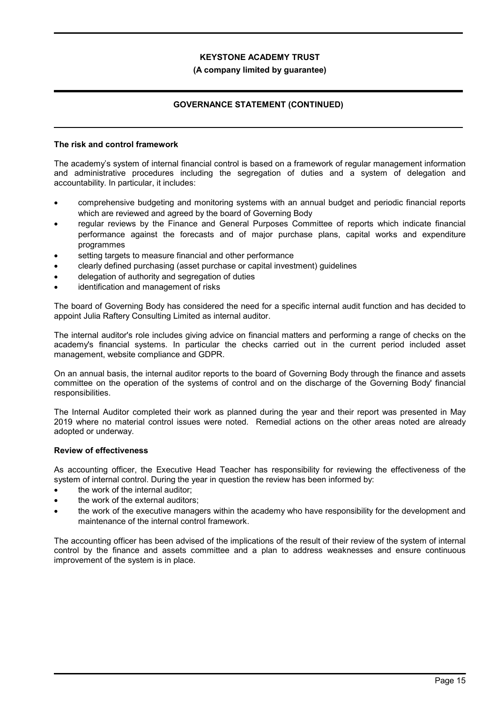#### (A company limited by guarantee)

# GOVERNANCE STATEMENT (CONTINUED)

#### The risk and control framework

The academy's system of internal financial control is based on a framework of regular management information and administrative procedures including the segregation of duties and a system of delegation and accountability. In particular, it includes:

- comprehensive budgeting and monitoring systems with an annual budget and periodic financial reports which are reviewed and agreed by the board of Governing Body
- regular reviews by the Finance and General Purposes Committee of reports which indicate financial performance against the forecasts and of major purchase plans, capital works and expenditure programmes
- setting targets to measure financial and other performance
- clearly defined purchasing (asset purchase or capital investment) guidelines
- delegation of authority and segregation of duties
- identification and management of risks

The board of Governing Body has considered the need for a specific internal audit function and has decided to appoint Julia Raftery Consulting Limited as internal auditor.

The internal auditor's role includes giving advice on financial matters and performing a range of checks on the academy's financial systems. In particular the checks carried out in the current period included asset management, website compliance and GDPR.

On an annual basis, the internal auditor reports to the board of Governing Body through the finance and assets committee on the operation of the systems of control and on the discharge of the Governing Body' financial responsibilities.

The Internal Auditor completed their work as planned during the year and their report was presented in May 2019 where no material control issues were noted. Remedial actions on the other areas noted are already adopted or underway.

#### Review of effectiveness

As accounting officer, the Executive Head Teacher has responsibility for reviewing the effectiveness of the system of internal control. During the year in question the review has been informed by:

- the work of the internal auditor;
- the work of the external auditors;
- the work of the executive managers within the academy who have responsibility for the development and maintenance of the internal control framework.

The accounting officer has been advised of the implications of the result of their review of the system of internal control by the finance and assets committee and a plan to address weaknesses and ensure continuous improvement of the system is in place.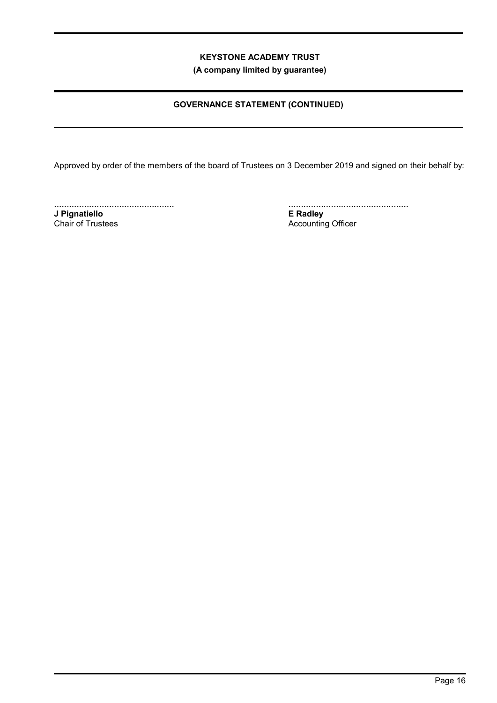(A company limited by guarantee)

# GOVERNANCE STATEMENT (CONTINUED)

Approved by order of the members of the board of Trustees on 3 December 2019 and signed on their behalf by:

................................................ J Pignatiello Chair of Trustees

................................................ E Radley Accounting Officer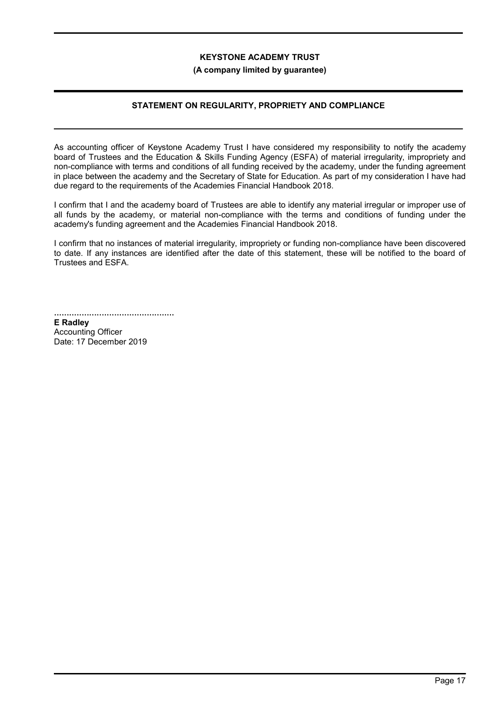#### (A company limited by guarantee)

## STATEMENT ON REGULARITY, PROPRIETY AND COMPLIANCE

As accounting officer of Keystone Academy Trust I have considered my responsibility to notify the academy board of Trustees and the Education & Skills Funding Agency (ESFA) of material irregularity, impropriety and non-compliance with terms and conditions of all funding received by the academy, under the funding agreement in place between the academy and the Secretary of State for Education. As part of my consideration I have had due regard to the requirements of the Academies Financial Handbook 2018.

I confirm that I and the academy board of Trustees are able to identify any material irregular or improper use of all funds by the academy, or material non-compliance with the terms and conditions of funding under the academy's funding agreement and the Academies Financial Handbook 2018.

I confirm that no instances of material irregularity, impropriety or funding non-compliance have been discovered to date. If any instances are identified after the date of this statement, these will be notified to the board of Trustees and ESFA.

................................................ E Radley

Accounting Officer Date: 17 December 2019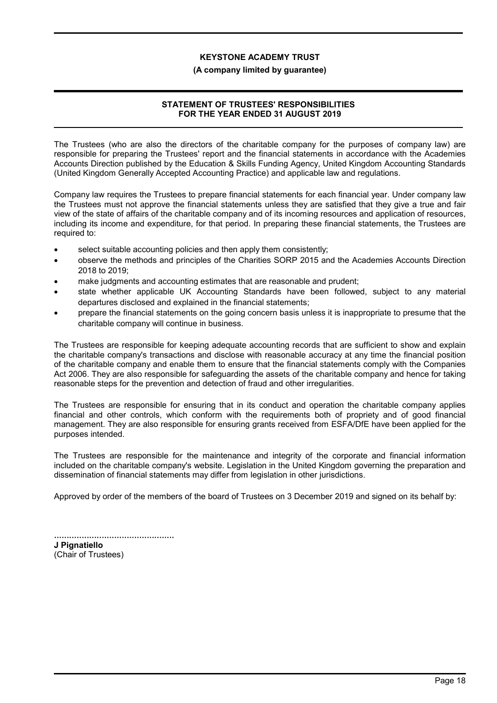#### (A company limited by guarantee)

# STATEMENT OF TRUSTEES' RESPONSIBILITIES FOR THE YEAR ENDED 31 AUGUST 2019

The Trustees (who are also the directors of the charitable company for the purposes of company law) are responsible for preparing the Trustees' report and the financial statements in accordance with the Academies Accounts Direction published by the Education & Skills Funding Agency, United Kingdom Accounting Standards (United Kingdom Generally Accepted Accounting Practice) and applicable law and regulations.

Company law requires the Trustees to prepare financial statements for each financial year. Under company law the Trustees must not approve the financial statements unless they are satisfied that they give a true and fair view of the state of affairs of the charitable company and of its incoming resources and application of resources, including its income and expenditure, for that period. In preparing these financial statements, the Trustees are required to:

- select suitable accounting policies and then apply them consistently;
- observe the methods and principles of the Charities SORP 2015 and the Academies Accounts Direction 2018 to 2019;
- make judgments and accounting estimates that are reasonable and prudent;
- state whether applicable UK Accounting Standards have been followed, subject to any material departures disclosed and explained in the financial statements;
- prepare the financial statements on the going concern basis unless it is inappropriate to presume that the charitable company will continue in business.

The Trustees are responsible for keeping adequate accounting records that are sufficient to show and explain the charitable company's transactions and disclose with reasonable accuracy at any time the financial position of the charitable company and enable them to ensure that the financial statements comply with the Companies Act 2006. They are also responsible for safeguarding the assets of the charitable company and hence for taking reasonable steps for the prevention and detection of fraud and other irregularities.

The Trustees are responsible for ensuring that in its conduct and operation the charitable company applies financial and other controls, which conform with the requirements both of propriety and of good financial management. They are also responsible for ensuring grants received from ESFA/DfE have been applied for the purposes intended.

The Trustees are responsible for the maintenance and integrity of the corporate and financial information included on the charitable company's website. Legislation in the United Kingdom governing the preparation and dissemination of financial statements may differ from legislation in other jurisdictions.

Approved by order of the members of the board of Trustees on 3 December 2019 and signed on its behalf by:

................................................ J Pignatiello

(Chair of Trustees)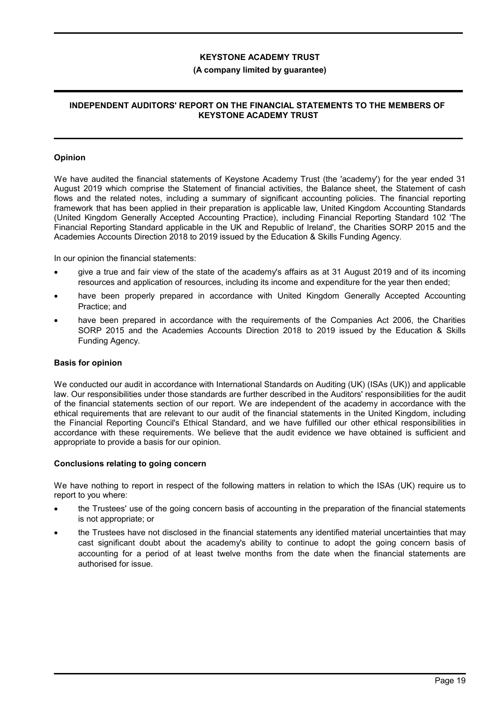### (A company limited by guarantee)

## INDEPENDENT AUDITORS' REPORT ON THE FINANCIAL STATEMENTS TO THE MEMBERS OF KEYSTONE ACADEMY TRUST

#### Opinion

We have audited the financial statements of Keystone Academy Trust (the 'academy') for the year ended 31 August 2019 which comprise the Statement of financial activities, the Balance sheet, the Statement of cash flows and the related notes, including a summary of significant accounting policies. The financial reporting framework that has been applied in their preparation is applicable law, United Kingdom Accounting Standards (United Kingdom Generally Accepted Accounting Practice), including Financial Reporting Standard 102 'The Financial Reporting Standard applicable in the UK and Republic of Ireland', the Charities SORP 2015 and the Academies Accounts Direction 2018 to 2019 issued by the Education & Skills Funding Agency.

In our opinion the financial statements:

- give a true and fair view of the state of the academy's affairs as at 31 August 2019 and of its incoming resources and application of resources, including its income and expenditure for the year then ended;
- have been properly prepared in accordance with United Kingdom Generally Accepted Accounting Practice; and
- have been prepared in accordance with the requirements of the Companies Act 2006, the Charities SORP 2015 and the Academies Accounts Direction 2018 to 2019 issued by the Education & Skills Funding Agency.

#### Basis for opinion

We conducted our audit in accordance with International Standards on Auditing (UK) (ISAs (UK)) and applicable law. Our responsibilities under those standards are further described in the Auditors' responsibilities for the audit of the financial statements section of our report. We are independent of the academy in accordance with the ethical requirements that are relevant to our audit of the financial statements in the United Kingdom, including the Financial Reporting Council's Ethical Standard, and we have fulfilled our other ethical responsibilities in accordance with these requirements. We believe that the audit evidence we have obtained is sufficient and appropriate to provide a basis for our opinion.

#### Conclusions relating to going concern

We have nothing to report in respect of the following matters in relation to which the ISAs (UK) require us to report to you where:

- the Trustees' use of the going concern basis of accounting in the preparation of the financial statements is not appropriate; or
- the Trustees have not disclosed in the financial statements any identified material uncertainties that may cast significant doubt about the academy's ability to continue to adopt the going concern basis of accounting for a period of at least twelve months from the date when the financial statements are authorised for issue.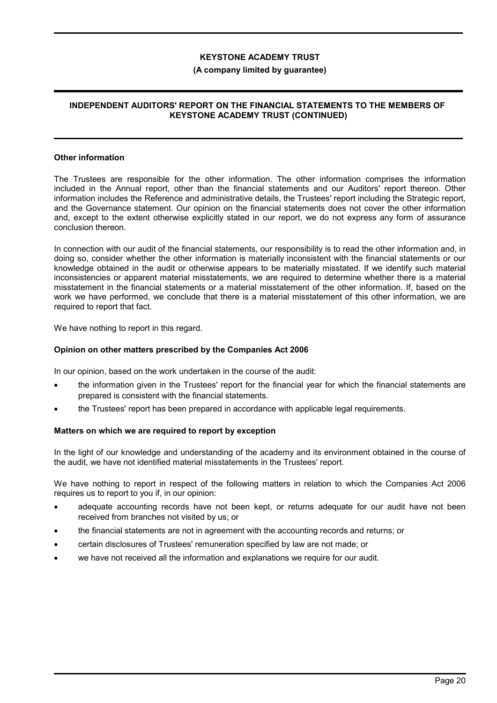#### (A company limited by guarantee)

### INDEPENDENT AUDITORS' REPORT ON THE FINANCIAL STATEMENTS TO THE MEMBERS OF KEYSTONE ACADEMY TRUST (CONTINUED)

#### Other information

The Trustees are responsible for the other information. The other information comprises the information included in the Annual report, other than the financial statements and our Auditors' report thereon. Other information includes the Reference and administrative details, the Trustees' report including the Strategic report, and the Governance statement. Our opinion on the financial statements does not cover the other information and, except to the extent otherwise explicitly stated in our report, we do not express any form of assurance conclusion thereon.

In connection with our audit of the financial statements, our responsibility is to read the other information and, in doing so, consider whether the other information is materially inconsistent with the financial statements or our knowledge obtained in the audit or otherwise appears to be materially misstated. If we identify such material inconsistencies or apparent material misstatements, we are required to determine whether there is a material misstatement in the financial statements or a material misstatement of the other information. If, based on the work we have performed, we conclude that there is a material misstatement of this other information, we are required to report that fact.

We have nothing to report in this regard.

### Opinion on other matters prescribed by the Companies Act 2006

In our opinion, based on the work undertaken in the course of the audit:

- the information given in the Trustees' report for the financial year for which the financial statements are prepared is consistent with the financial statements.
- the Trustees' report has been prepared in accordance with applicable legal requirements.

#### Matters on which we are required to report by exception

In the light of our knowledge and understanding of the academy and its environment obtained in the course of the audit, we have not identified material misstatements in the Trustees' report.

We have nothing to report in respect of the following matters in relation to which the Companies Act 2006 requires us to report to you if, in our opinion:

- adequate accounting records have not been kept, or returns adequate for our audit have not been received from branches not visited by us; or
- the financial statements are not in agreement with the accounting records and returns; or
- certain disclosures of Trustees' remuneration specified by law are not made; or
- we have not received all the information and explanations we require for our audit.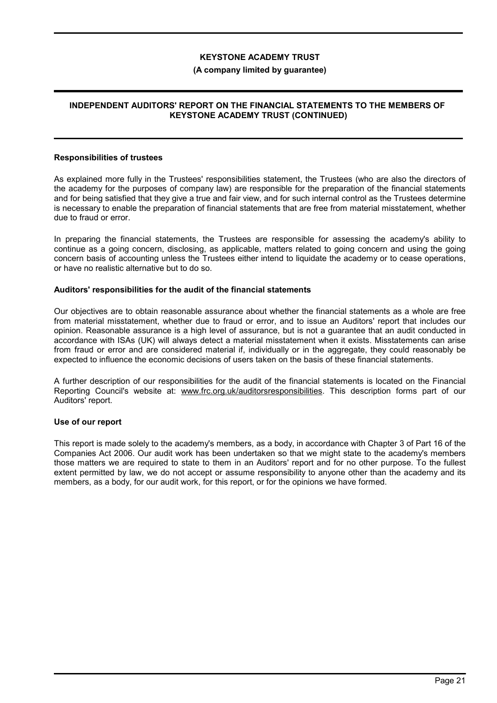#### (A company limited by guarantee)

## INDEPENDENT AUDITORS' REPORT ON THE FINANCIAL STATEMENTS TO THE MEMBERS OF KEYSTONE ACADEMY TRUST (CONTINUED)

#### Responsibilities of trustees

As explained more fully in the Trustees' responsibilities statement, the Trustees (who are also the directors of the academy for the purposes of company law) are responsible for the preparation of the financial statements and for being satisfied that they give a true and fair view, and for such internal control as the Trustees determine is necessary to enable the preparation of financial statements that are free from material misstatement, whether due to fraud or error.

In preparing the financial statements, the Trustees are responsible for assessing the academy's ability to continue as a going concern, disclosing, as applicable, matters related to going concern and using the going concern basis of accounting unless the Trustees either intend to liquidate the academy or to cease operations, or have no realistic alternative but to do so.

#### Auditors' responsibilities for the audit of the financial statements

Our objectives are to obtain reasonable assurance about whether the financial statements as a whole are free from material misstatement, whether due to fraud or error, and to issue an Auditors' report that includes our opinion. Reasonable assurance is a high level of assurance, but is not a guarantee that an audit conducted in accordance with ISAs (UK) will always detect a material misstatement when it exists. Misstatements can arise from fraud or error and are considered material if, individually or in the aggregate, they could reasonably be expected to influence the economic decisions of users taken on the basis of these financial statements.

A further description of our responsibilities for the audit of the financial statements is located on the Financial Reporting Council's website at: www.frc.org.uk/auditorsresponsibilities. This description forms part of our Auditors' report.

#### Use of our report

This report is made solely to the academy's members, as a body, in accordance with Chapter 3 of Part 16 of the Companies Act 2006. Our audit work has been undertaken so that we might state to the academy's members those matters we are required to state to them in an Auditors' report and for no other purpose. To the fullest extent permitted by law, we do not accept or assume responsibility to anyone other than the academy and its members, as a body, for our audit work, for this report, or for the opinions we have formed.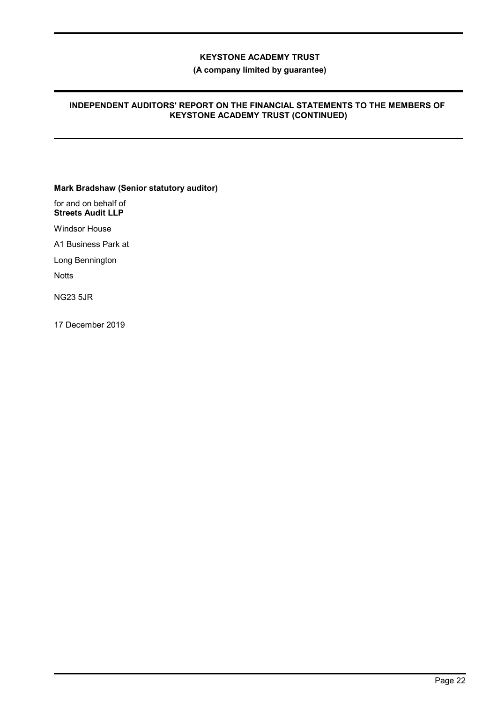(A company limited by guarantee)

## INDEPENDENT AUDITORS' REPORT ON THE FINANCIAL STATEMENTS TO THE MEMBERS OF KEYSTONE ACADEMY TRUST (CONTINUED)

Mark Bradshaw (Senior statutory auditor)

for and on behalf of Streets Audit LLP

Windsor House

A1 Business Park at

Long Bennington

**Notts** 

NG23 5JR

17 December 2019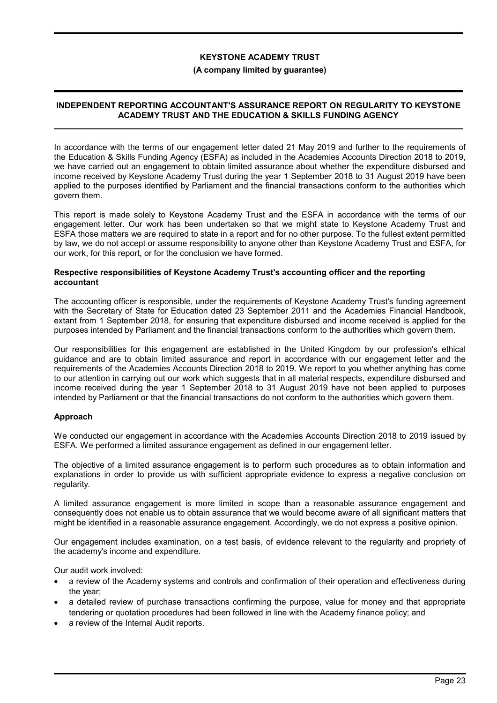#### (A company limited by guarantee)

## INDEPENDENT REPORTING ACCOUNTANT'S ASSURANCE REPORT ON REGULARITY TO KEYSTONE ACADEMY TRUST AND THE EDUCATION & SKILLS FUNDING AGENCY

In accordance with the terms of our engagement letter dated 21 May 2019 and further to the requirements of the Education & Skills Funding Agency (ESFA) as included in the Academies Accounts Direction 2018 to 2019, we have carried out an engagement to obtain limited assurance about whether the expenditure disbursed and income received by Keystone Academy Trust during the year 1 September 2018 to 31 August 2019 have been applied to the purposes identified by Parliament and the financial transactions conform to the authorities which govern them.

This report is made solely to Keystone Academy Trust and the ESFA in accordance with the terms of our engagement letter. Our work has been undertaken so that we might state to Keystone Academy Trust and ESFA those matters we are required to state in a report and for no other purpose. To the fullest extent permitted by law, we do not accept or assume responsibility to anyone other than Keystone Academy Trust and ESFA, for our work, for this report, or for the conclusion we have formed.

#### Respective responsibilities of Keystone Academy Trust's accounting officer and the reporting accountant

The accounting officer is responsible, under the requirements of Keystone Academy Trust's funding agreement with the Secretary of State for Education dated 23 September 2011 and the Academies Financial Handbook, extant from 1 September 2018, for ensuring that expenditure disbursed and income received is applied for the purposes intended by Parliament and the financial transactions conform to the authorities which govern them.

Our responsibilities for this engagement are established in the United Kingdom by our profession's ethical guidance and are to obtain limited assurance and report in accordance with our engagement letter and the requirements of the Academies Accounts Direction 2018 to 2019. We report to you whether anything has come to our attention in carrying out our work which suggests that in all material respects, expenditure disbursed and income received during the year 1 September 2018 to 31 August 2019 have not been applied to purposes intended by Parliament or that the financial transactions do not conform to the authorities which govern them.

## Approach

We conducted our engagement in accordance with the Academies Accounts Direction 2018 to 2019 issued by ESFA. We performed a limited assurance engagement as defined in our engagement letter.

The objective of a limited assurance engagement is to perform such procedures as to obtain information and explanations in order to provide us with sufficient appropriate evidence to express a negative conclusion on regularity.

A limited assurance engagement is more limited in scope than a reasonable assurance engagement and consequently does not enable us to obtain assurance that we would become aware of all significant matters that might be identified in a reasonable assurance engagement. Accordingly, we do not express a positive opinion.

Our engagement includes examination, on a test basis, of evidence relevant to the regularity and propriety of the academy's income and expenditure.

Our audit work involved:

- a review of the Academy systems and controls and confirmation of their operation and effectiveness during the year;
- a detailed review of purchase transactions confirming the purpose, value for money and that appropriate tendering or quotation procedures had been followed in line with the Academy finance policy; and
- a review of the Internal Audit reports.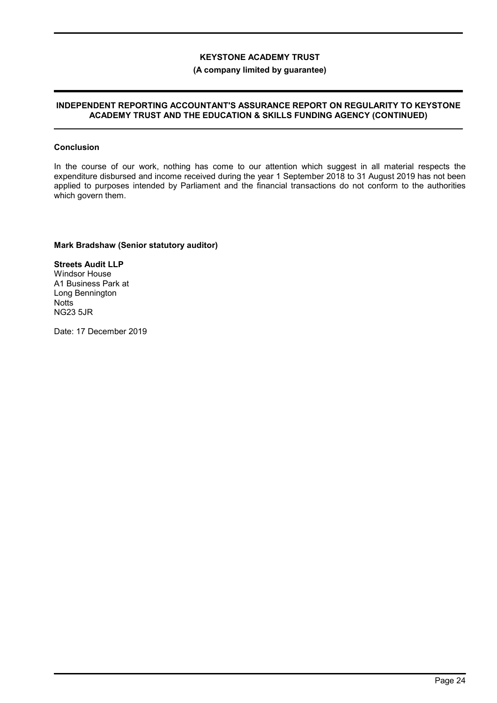## (A company limited by guarantee)

#### INDEPENDENT REPORTING ACCOUNTANT'S ASSURANCE REPORT ON REGULARITY TO KEYSTONE ACADEMY TRUST AND THE EDUCATION & SKILLS FUNDING AGENCY (CONTINUED)

#### Conclusion

In the course of our work, nothing has come to our attention which suggest in all material respects the expenditure disbursed and income received during the year 1 September 2018 to 31 August 2019 has not been applied to purposes intended by Parliament and the financial transactions do not conform to the authorities which govern them.

## Mark Bradshaw (Senior statutory auditor)

Streets Audit LLP Windsor House A1 Business Park at Long Bennington **Notts** NG23 5JR

Date: 17 December 2019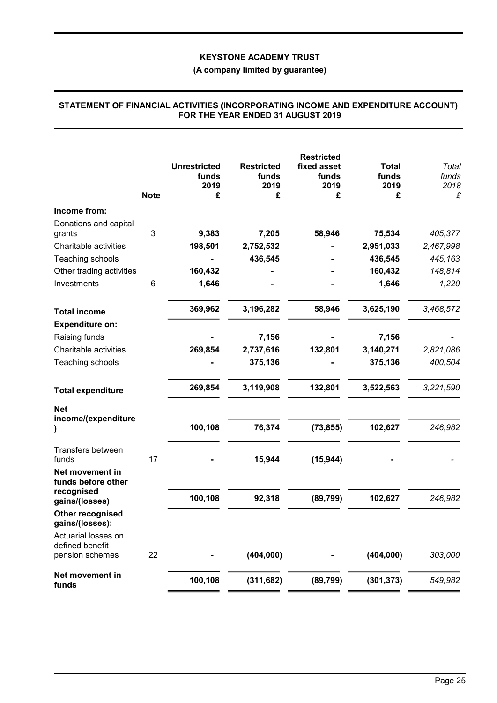# (A company limited by guarantee)

|                                                           | <b>Note</b> | <b>Unrestricted</b><br>funds<br>2019<br>£ | <b>Restricted</b><br>funds<br>2019<br>£ | <b>Restricted</b><br>fixed asset<br>funds<br>2019<br>£ | <b>Total</b><br>funds<br>2019<br>£ | Total<br>funds<br>2018<br>£ |
|-----------------------------------------------------------|-------------|-------------------------------------------|-----------------------------------------|--------------------------------------------------------|------------------------------------|-----------------------------|
| Income from:                                              |             |                                           |                                         |                                                        |                                    |                             |
| Donations and capital                                     |             |                                           |                                         |                                                        |                                    |                             |
| grants                                                    | 3           | 9,383                                     | 7,205                                   | 58,946                                                 | 75,534                             | 405,377                     |
| Charitable activities                                     |             | 198,501                                   | 2,752,532                               |                                                        | 2,951,033                          | 2,467,998                   |
| Teaching schools                                          |             |                                           | 436,545                                 |                                                        | 436,545                            | 445,163                     |
| Other trading activities                                  |             | 160,432                                   |                                         |                                                        | 160,432                            | 148,814                     |
| Investments                                               | 6           | 1,646                                     |                                         |                                                        | 1,646                              | 1,220                       |
| <b>Total income</b>                                       |             | 369,962                                   | 3,196,282                               | 58,946                                                 | 3,625,190                          | 3,468,572                   |
| <b>Expenditure on:</b>                                    |             |                                           |                                         |                                                        |                                    |                             |
| Raising funds                                             |             |                                           | 7,156                                   |                                                        | 7,156                              |                             |
| Charitable activities                                     |             | 269,854                                   | 2,737,616                               | 132,801                                                | 3,140,271                          | 2,821,086                   |
| Teaching schools                                          |             |                                           | 375,136                                 |                                                        | 375,136                            | 400,504                     |
| <b>Total expenditure</b>                                  |             | 269,854                                   | 3,119,908                               | 132,801                                                | 3,522,563                          | 3,221,590                   |
| <b>Net</b><br>income/(expenditure                         |             |                                           |                                         |                                                        |                                    |                             |
|                                                           |             | 100,108                                   | 76,374                                  | (73, 855)                                              | 102,627                            | 246,982                     |
| Transfers between<br>funds                                | 17          |                                           | 15,944                                  | (15, 944)                                              |                                    |                             |
| Net movement in<br>funds before other                     |             |                                           |                                         |                                                        |                                    |                             |
| recognised<br>gains/(losses)                              |             | 100,108                                   | 92,318                                  | (89, 799)                                              | 102,627                            | 246,982                     |
| Other recognised<br>gains/(losses):                       |             |                                           |                                         |                                                        |                                    |                             |
| Actuarial losses on<br>defined benefit<br>pension schemes | 22          |                                           | (404, 000)                              |                                                        | (404, 000)                         | 303,000                     |
| Net movement in<br>funds                                  |             | 100,108                                   | (311, 682)                              | (89, 799)                                              | (301, 373)                         | 549,982                     |

#### STATEMENT OF FINANCIAL ACTIVITIES (INCORPORATING INCOME AND EXPENDITURE ACCOUNT) FOR THE YEAR ENDED 31 AUGUST 2019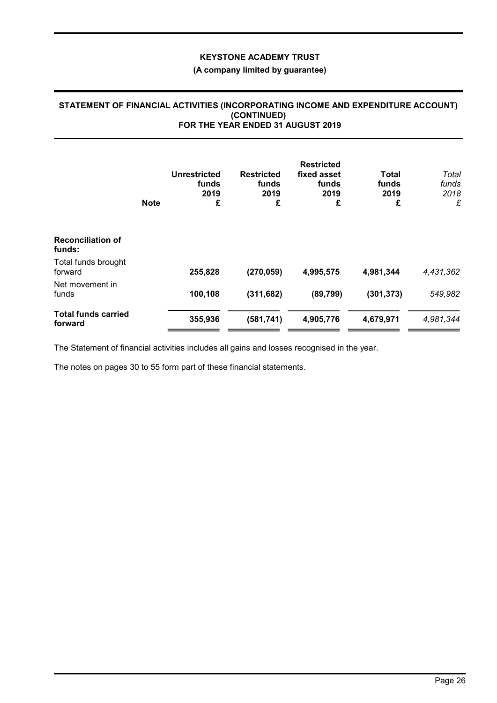# (A company limited by guarantee)

#### STATEMENT OF FINANCIAL ACTIVITIES (INCORPORATING INCOME AND EXPENDITURE ACCOUNT) (CONTINUED) FOR THE YEAR ENDED 31 AUGUST 2019

|                                       | <b>Note</b> | Unrestricted<br>funds<br>2019<br>£ | <b>Restricted</b><br>funds<br>2019<br>£ | <b>Restricted</b><br>fixed asset<br>funds<br>2019<br>£ | Total<br>funds<br>2019<br>£ | Total<br>funds<br>2018<br>£ |
|---------------------------------------|-------------|------------------------------------|-----------------------------------------|--------------------------------------------------------|-----------------------------|-----------------------------|
| <b>Reconciliation of</b><br>funds:    |             |                                    |                                         |                                                        |                             |                             |
| Total funds brought<br>forward        |             | 255,828                            | (270, 059)                              | 4,995,575                                              | 4,981,344                   | 4,431,362                   |
| Net movement in<br>funds              |             | 100,108                            | (311, 682)                              | (89, 799)                                              | (301, 373)                  | 549,982                     |
| <b>Total funds carried</b><br>forward |             | 355,936                            | (581, 741)                              | 4,905,776                                              | 4,679,971                   | 4,981,344                   |

The Statement of financial activities includes all gains and losses recognised in the year.

The notes on pages 30 to 55 form part of these financial statements.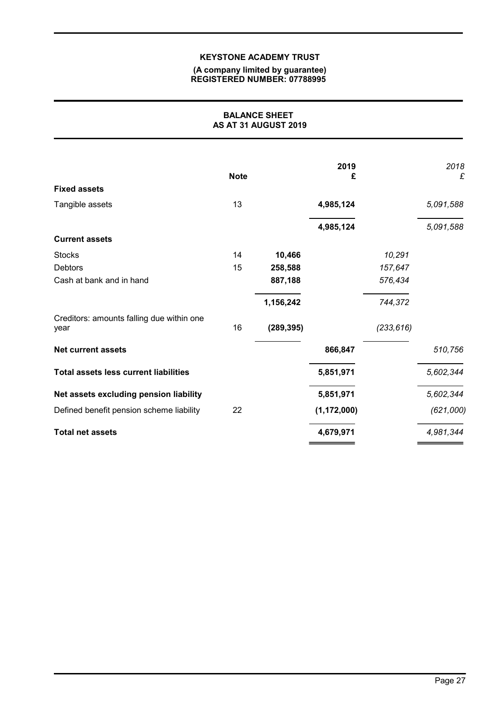#### (A company limited by guarantee) REGISTERED NUMBER: 07788995

## BALANCE SHEET AS AT 31 AUGUST 2019

|                                                   | <b>Note</b> |            | 2019<br>£     |            | 2018<br>£ |
|---------------------------------------------------|-------------|------------|---------------|------------|-----------|
| <b>Fixed assets</b>                               |             |            |               |            |           |
| Tangible assets                                   | 13          |            | 4,985,124     |            | 5,091,588 |
|                                                   |             |            | 4,985,124     |            | 5,091,588 |
| <b>Current assets</b>                             |             |            |               |            |           |
| <b>Stocks</b>                                     | 14          | 10,466     |               | 10,291     |           |
| <b>Debtors</b>                                    | 15          | 258,588    |               | 157,647    |           |
| Cash at bank and in hand                          |             | 887,188    |               | 576,434    |           |
|                                                   |             | 1,156,242  |               | 744,372    |           |
| Creditors: amounts falling due within one<br>year | 16          | (289, 395) |               | (233, 616) |           |
| <b>Net current assets</b>                         |             |            | 866,847       |            | 510,756   |
| <b>Total assets less current liabilities</b>      |             |            | 5,851,971     |            | 5,602,344 |
| Net assets excluding pension liability            |             |            | 5,851,971     |            | 5,602,344 |
| Defined benefit pension scheme liability          | 22          |            | (1, 172, 000) |            | (621,000) |
| <b>Total net assets</b>                           |             |            | 4,679,971     |            | 4,981,344 |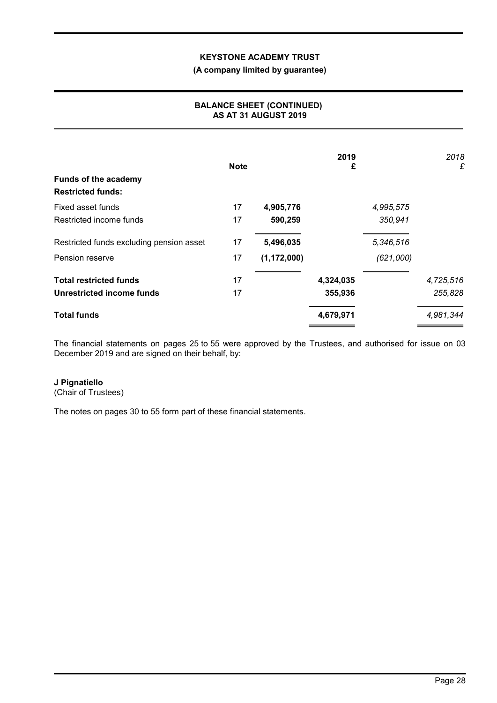## (A company limited by guarantee)

## BALANCE SHEET (CONTINUED) AS AT 31 AUGUST 2019

| <b>Funds of the academy</b><br><b>Restricted funds:</b> | <b>Note</b> |               | 2019<br>£ |           | 2018<br>£ |
|---------------------------------------------------------|-------------|---------------|-----------|-----------|-----------|
| Fixed asset funds                                       | 17          | 4,905,776     |           | 4,995,575 |           |
| Restricted income funds                                 | 17          | 590,259       |           | 350,941   |           |
| Restricted funds excluding pension asset                | 17          | 5,496,035     |           | 5,346,516 |           |
| Pension reserve                                         | 17          | (1, 172, 000) |           | (621,000) |           |
| <b>Total restricted funds</b>                           | 17          |               | 4,324,035 |           | 4,725,516 |
| Unrestricted income funds                               | 17          |               | 355,936   |           | 255,828   |
| <b>Total funds</b>                                      |             |               | 4,679,971 |           | 4,981,344 |

The financial statements on pages 25 to 55 were approved by the Trustees, and authorised for issue on 03 December 2019 and are signed on their behalf, by:

# J Pignatiello

(Chair of Trustees)

The notes on pages 30 to 55 form part of these financial statements.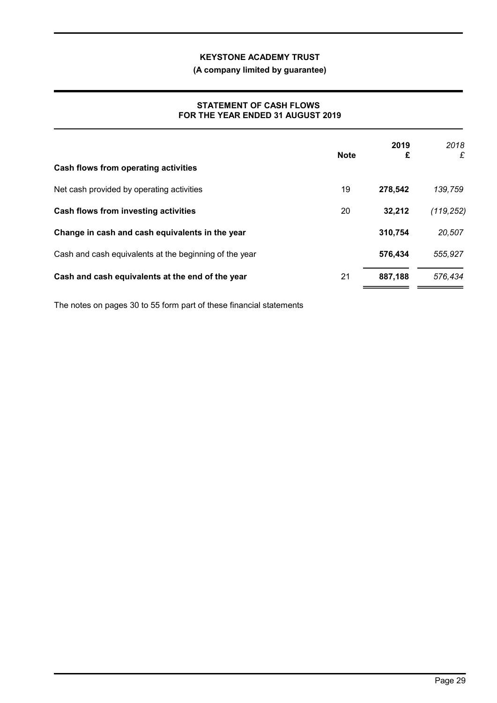# (A company limited by guarantee)

## STATEMENT OF CASH FLOWS FOR THE YEAR ENDED 31 AUGUST 2019

| Cash flows from operating activities                   | <b>Note</b> | 2019<br>£ | 2018<br>£  |
|--------------------------------------------------------|-------------|-----------|------------|
| Net cash provided by operating activities              | 19          | 278,542   | 139,759    |
| Cash flows from investing activities                   | 20          | 32,212    | (119, 252) |
| Change in cash and cash equivalents in the year        |             | 310,754   | 20,507     |
| Cash and cash equivalents at the beginning of the year |             | 576,434   | 555,927    |
| Cash and cash equivalents at the end of the year       | 21          | 887,188   | 576,434    |

The notes on pages 30 to 55 form part of these financial statements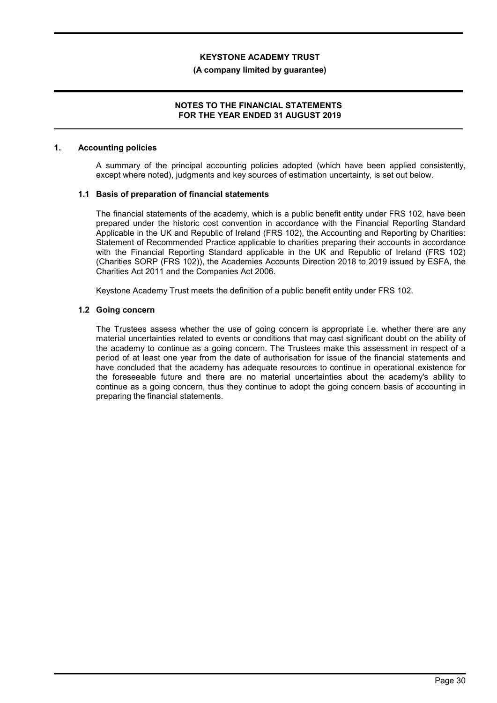#### (A company limited by guarantee)

### NOTES TO THE FINANCIAL STATEMENTS FOR THE YEAR ENDED 31 AUGUST 2019

#### 1. Accounting policies

A summary of the principal accounting policies adopted (which have been applied consistently, except where noted), judgments and key sources of estimation uncertainty, is set out below.

#### 1.1 Basis of preparation of financial statements

The financial statements of the academy, which is a public benefit entity under FRS 102, have been prepared under the historic cost convention in accordance with the Financial Reporting Standard Applicable in the UK and Republic of Ireland (FRS 102), the Accounting and Reporting by Charities: Statement of Recommended Practice applicable to charities preparing their accounts in accordance with the Financial Reporting Standard applicable in the UK and Republic of Ireland (FRS 102) (Charities SORP (FRS 102)), the Academies Accounts Direction 2018 to 2019 issued by ESFA, the Charities Act 2011 and the Companies Act 2006.

Keystone Academy Trust meets the definition of a public benefit entity under FRS 102.

## 1.2 Going concern

The Trustees assess whether the use of going concern is appropriate i.e. whether there are any material uncertainties related to events or conditions that may cast significant doubt on the ability of the academy to continue as a going concern. The Trustees make this assessment in respect of a period of at least one year from the date of authorisation for issue of the financial statements and have concluded that the academy has adequate resources to continue in operational existence for the foreseeable future and there are no material uncertainties about the academy's ability to continue as a going concern, thus they continue to adopt the going concern basis of accounting in preparing the financial statements.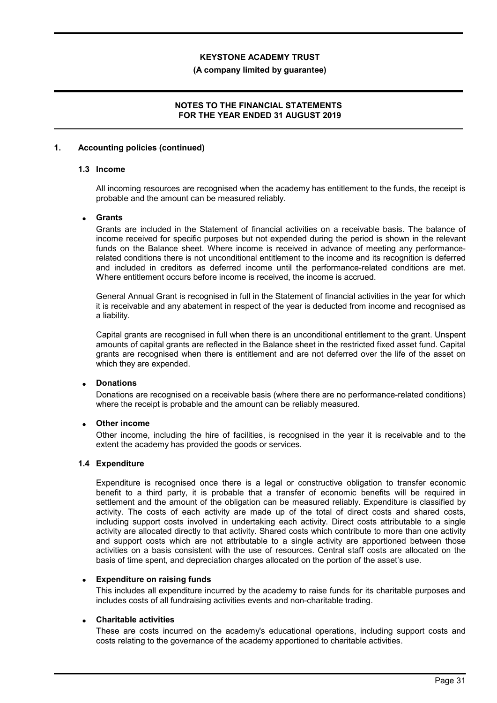#### (A company limited by guarantee)

## NOTES TO THE FINANCIAL STATEMENTS FOR THE YEAR ENDED 31 AUGUST 2019

#### 1. Accounting policies (continued)

#### 1.3 Income

All incoming resources are recognised when the academy has entitlement to the funds, the receipt is probable and the amount can be measured reliably.

#### **Grants**

Grants are included in the Statement of financial activities on a receivable basis. The balance of income received for specific purposes but not expended during the period is shown in the relevant funds on the Balance sheet. Where income is received in advance of meeting any performancerelated conditions there is not unconditional entitlement to the income and its recognition is deferred and included in creditors as deferred income until the performance-related conditions are met. Where entitlement occurs before income is received, the income is accrued.

General Annual Grant is recognised in full in the Statement of financial activities in the year for which it is receivable and any abatement in respect of the year is deducted from income and recognised as a liability.

Capital grants are recognised in full when there is an unconditional entitlement to the grant. Unspent amounts of capital grants are reflected in the Balance sheet in the restricted fixed asset fund. Capital grants are recognised when there is entitlement and are not deferred over the life of the asset on which they are expended.

### Donations

Donations are recognised on a receivable basis (where there are no performance-related conditions) where the receipt is probable and the amount can be reliably measured.

## Other income

Other income, including the hire of facilities, is recognised in the year it is receivable and to the extent the academy has provided the goods or services.

#### 1.4 Expenditure

Expenditure is recognised once there is a legal or constructive obligation to transfer economic benefit to a third party, it is probable that a transfer of economic benefits will be required in settlement and the amount of the obligation can be measured reliably. Expenditure is classified by activity. The costs of each activity are made up of the total of direct costs and shared costs, including support costs involved in undertaking each activity. Direct costs attributable to a single activity are allocated directly to that activity. Shared costs which contribute to more than one activity and support costs which are not attributable to a single activity are apportioned between those activities on a basis consistent with the use of resources. Central staff costs are allocated on the basis of time spent, and depreciation charges allocated on the portion of the asset's use.

#### Expenditure on raising funds

This includes all expenditure incurred by the academy to raise funds for its charitable purposes and includes costs of all fundraising activities events and non-charitable trading.

#### Charitable activities

These are costs incurred on the academy's educational operations, including support costs and costs relating to the governance of the academy apportioned to charitable activities.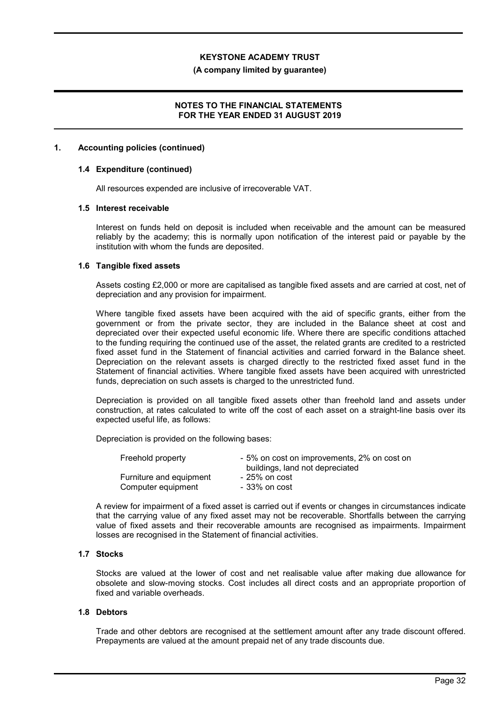#### (A company limited by guarantee)

### NOTES TO THE FINANCIAL STATEMENTS FOR THE YEAR ENDED 31 AUGUST 2019

#### 1. Accounting policies (continued)

#### 1.4 Expenditure (continued)

All resources expended are inclusive of irrecoverable VAT.

#### 1.5 Interest receivable

Interest on funds held on deposit is included when receivable and the amount can be measured reliably by the academy; this is normally upon notification of the interest paid or payable by the institution with whom the funds are deposited.

#### 1.6 Tangible fixed assets

Assets costing £2,000 or more are capitalised as tangible fixed assets and are carried at cost, net of depreciation and any provision for impairment.

Where tangible fixed assets have been acquired with the aid of specific grants, either from the government or from the private sector, they are included in the Balance sheet at cost and depreciated over their expected useful economic life. Where there are specific conditions attached to the funding requiring the continued use of the asset, the related grants are credited to a restricted fixed asset fund in the Statement of financial activities and carried forward in the Balance sheet. Depreciation on the relevant assets is charged directly to the restricted fixed asset fund in the Statement of financial activities. Where tangible fixed assets have been acquired with unrestricted funds, depreciation on such assets is charged to the unrestricted fund.

Depreciation is provided on all tangible fixed assets other than freehold land and assets under construction, at rates calculated to write off the cost of each asset on a straight-line basis over its expected useful life, as follows:

Depreciation is provided on the following bases:

| Freehold property       | - 5% on cost on improvements, 2% on cost on<br>buildings, land not depreciated |
|-------------------------|--------------------------------------------------------------------------------|
| Furniture and equipment | - 25% on cost                                                                  |
| Computer equipment      | - 33% on cost                                                                  |

A review for impairment of a fixed asset is carried out if events or changes in circumstances indicate that the carrying value of any fixed asset may not be recoverable. Shortfalls between the carrying value of fixed assets and their recoverable amounts are recognised as impairments. Impairment losses are recognised in the Statement of financial activities.

### 1.7 Stocks

Stocks are valued at the lower of cost and net realisable value after making due allowance for obsolete and slow-moving stocks. Cost includes all direct costs and an appropriate proportion of fixed and variable overheads.

#### 1.8 Debtors

Trade and other debtors are recognised at the settlement amount after any trade discount offered. Prepayments are valued at the amount prepaid net of any trade discounts due.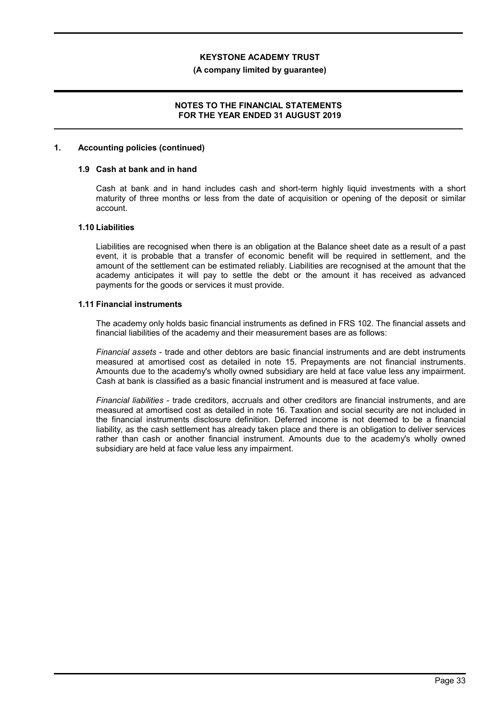#### (A company limited by guarantee)

## NOTES TO THE FINANCIAL STATEMENTS FOR THE YEAR ENDED 31 AUGUST 2019

#### 1. Accounting policies (continued)

### 1.9 Cash at bank and in hand

Cash at bank and in hand includes cash and short-term highly liquid investments with a short maturity of three months or less from the date of acquisition or opening of the deposit or similar account.

#### 1.10 Liabilities

Liabilities are recognised when there is an obligation at the Balance sheet date as a result of a past event, it is probable that a transfer of economic benefit will be required in settlement, and the amount of the settlement can be estimated reliably. Liabilities are recognised at the amount that the academy anticipates it will pay to settle the debt or the amount it has received as advanced payments for the goods or services it must provide.

#### 1.11 Financial instruments

The academy only holds basic financial instruments as defined in FRS 102. The financial assets and financial liabilities of the academy and their measurement bases are as follows:

Financial assets - trade and other debtors are basic financial instruments and are debt instruments measured at amortised cost as detailed in note 15. Prepayments are not financial instruments. Amounts due to the academy's wholly owned subsidiary are held at face value less any impairment. Cash at bank is classified as a basic financial instrument and is measured at face value.

Financial liabilities - trade creditors, accruals and other creditors are financial instruments, and are measured at amortised cost as detailed in note 16. Taxation and social security are not included in the financial instruments disclosure definition. Deferred income is not deemed to be a financial liability, as the cash settlement has already taken place and there is an obligation to deliver services rather than cash or another financial instrument. Amounts due to the academy's wholly owned subsidiary are held at face value less any impairment.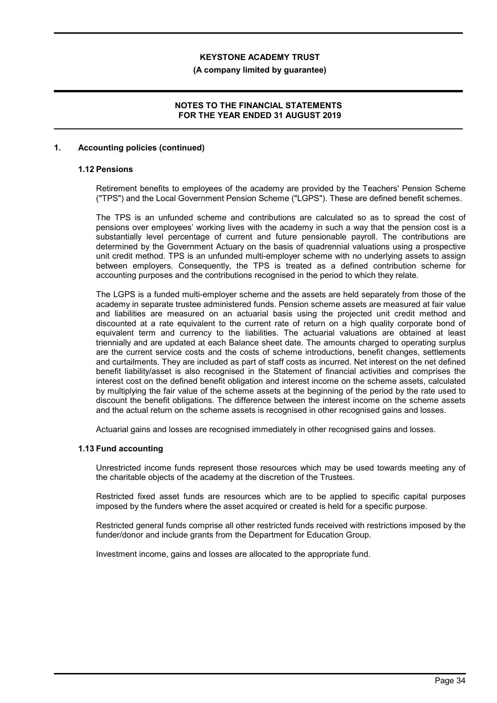#### (A company limited by guarantee)

## NOTES TO THE FINANCIAL STATEMENTS FOR THE YEAR ENDED 31 AUGUST 2019

### 1. Accounting policies (continued)

## 1.12 Pensions

Retirement benefits to employees of the academy are provided by the Teachers' Pension Scheme ("TPS") and the Local Government Pension Scheme ("LGPS"). These are defined benefit schemes.

The TPS is an unfunded scheme and contributions are calculated so as to spread the cost of pensions over employees' working lives with the academy in such a way that the pension cost is a substantially level percentage of current and future pensionable payroll. The contributions are determined by the Government Actuary on the basis of quadrennial valuations using a prospective unit credit method. TPS is an unfunded multi-employer scheme with no underlying assets to assign between employers. Consequently, the TPS is treated as a defined contribution scheme for accounting purposes and the contributions recognised in the period to which they relate.

The LGPS is a funded multi-employer scheme and the assets are held separately from those of the academy in separate trustee administered funds. Pension scheme assets are measured at fair value and liabilities are measured on an actuarial basis using the projected unit credit method and discounted at a rate equivalent to the current rate of return on a high quality corporate bond of equivalent term and currency to the liabilities. The actuarial valuations are obtained at least triennially and are updated at each Balance sheet date. The amounts charged to operating surplus are the current service costs and the costs of scheme introductions, benefit changes, settlements and curtailments. They are included as part of staff costs as incurred. Net interest on the net defined benefit liability/asset is also recognised in the Statement of financial activities and comprises the interest cost on the defined benefit obligation and interest income on the scheme assets, calculated by multiplying the fair value of the scheme assets at the beginning of the period by the rate used to discount the benefit obligations. The difference between the interest income on the scheme assets and the actual return on the scheme assets is recognised in other recognised gains and losses.

Actuarial gains and losses are recognised immediately in other recognised gains and losses.

#### 1.13 Fund accounting

Unrestricted income funds represent those resources which may be used towards meeting any of the charitable objects of the academy at the discretion of the Trustees.

Restricted fixed asset funds are resources which are to be applied to specific capital purposes imposed by the funders where the asset acquired or created is held for a specific purpose.

Restricted general funds comprise all other restricted funds received with restrictions imposed by the funder/donor and include grants from the Department for Education Group.

Investment income, gains and losses are allocated to the appropriate fund.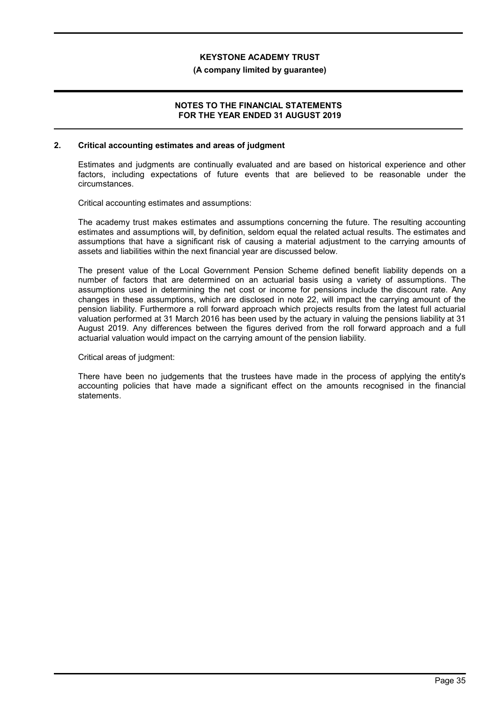#### (A company limited by guarantee)

#### NOTES TO THE FINANCIAL STATEMENTS FOR THE YEAR ENDED 31 AUGUST 2019

#### 2. Critical accounting estimates and areas of judgment

Estimates and judgments are continually evaluated and are based on historical experience and other factors, including expectations of future events that are believed to be reasonable under the circumstances.

Critical accounting estimates and assumptions:

The academy trust makes estimates and assumptions concerning the future. The resulting accounting estimates and assumptions will, by definition, seldom equal the related actual results. The estimates and assumptions that have a significant risk of causing a material adjustment to the carrying amounts of assets and liabilities within the next financial year are discussed below.

The present value of the Local Government Pension Scheme defined benefit liability depends on a number of factors that are determined on an actuarial basis using a variety of assumptions. The assumptions used in determining the net cost or income for pensions include the discount rate. Any changes in these assumptions, which are disclosed in note 22, will impact the carrying amount of the pension liability. Furthermore a roll forward approach which projects results from the latest full actuarial valuation performed at 31 March 2016 has been used by the actuary in valuing the pensions liability at 31 August 2019. Any differences between the figures derived from the roll forward approach and a full actuarial valuation would impact on the carrying amount of the pension liability.

Critical areas of judgment:

There have been no judgements that the trustees have made in the process of applying the entity's accounting policies that have made a significant effect on the amounts recognised in the financial statements.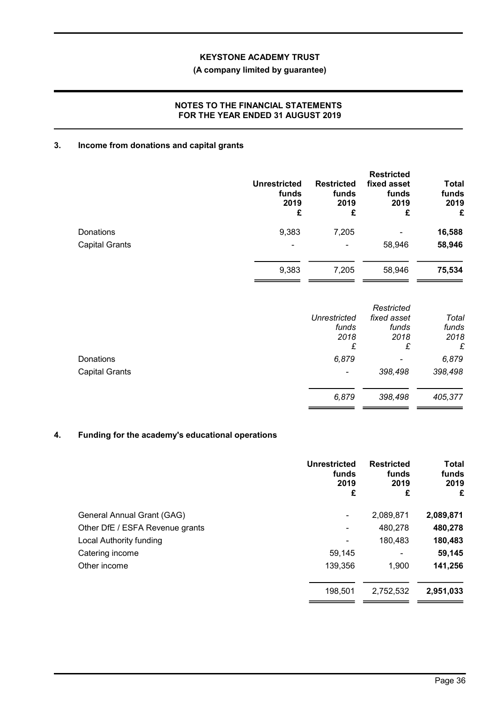# (A company limited by guarantee)

## NOTES TO THE FINANCIAL STATEMENTS FOR THE YEAR ENDED 31 AUGUST 2019

# 3. Income from donations and capital grants

|                       | <b>Unrestricted</b><br>funds<br>2019<br>£ | <b>Restricted</b><br>funds<br>2019<br>£ | <b>Restricted</b><br>fixed asset<br>funds<br>2019<br>£ | <b>Total</b><br>funds<br>2019<br>£ |
|-----------------------|-------------------------------------------|-----------------------------------------|--------------------------------------------------------|------------------------------------|
| <b>Donations</b>      | 9,383                                     | 7,205                                   | $\qquad \qquad \blacksquare$                           | 16,588                             |
| <b>Capital Grants</b> | $\overline{\phantom{0}}$                  |                                         | 58,946                                                 | 58,946                             |
|                       | 9,383                                     | 7,205                                   | 58,946                                                 | 75,534                             |

|                       |                          | Restricted                   |         |
|-----------------------|--------------------------|------------------------------|---------|
|                       | Unrestricted             | fixed asset                  | Total   |
|                       | funds                    | funds                        | funds   |
|                       | 2018                     | 2018                         | 2018    |
|                       | £                        | £                            | £       |
| Donations             | 6,879                    | $\qquad \qquad \blacksquare$ | 6,879   |
| <b>Capital Grants</b> | $\overline{\phantom{a}}$ | 398,498                      | 398,498 |
|                       | 6,879                    | 398,498                      | 405,377 |
|                       |                          |                              |         |

# 4. Funding for the academy's educational operations

| <b>Unrestricted</b><br>funds<br>2019<br>£ | <b>Restricted</b><br>funds<br>2019<br>£ | <b>Total</b><br>funds<br>2019<br>£ |
|-------------------------------------------|-----------------------------------------|------------------------------------|
| ۰                                         | 2,089,871                               | 2,089,871                          |
| -                                         | 480,278                                 | 480,278                            |
| -                                         | 180,483                                 | 180,483                            |
| 59,145                                    | -                                       | 59,145                             |
| 139,356                                   | 1,900                                   | 141,256                            |
| 198,501                                   | 2,752,532                               | 2,951,033                          |
|                                           |                                         |                                    |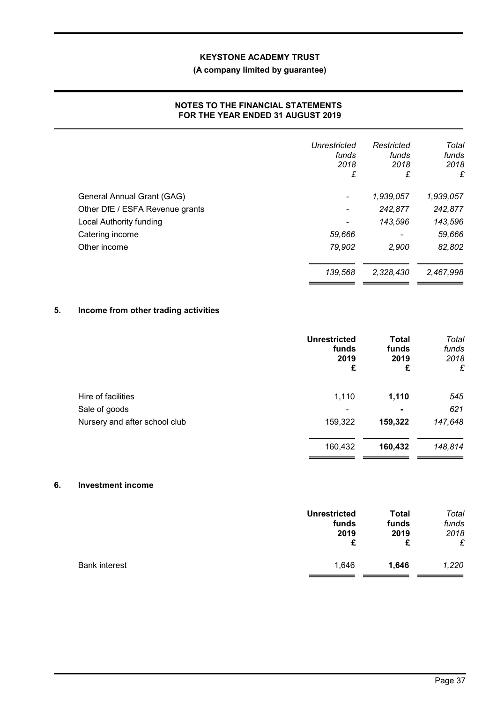# (A company limited by guarantee)

## NOTES TO THE FINANCIAL STATEMENTS FOR THE YEAR ENDED 31 AUGUST 2019

|                                 | Unrestricted<br>funds<br>2018<br>£ | Restricted<br>funds<br>2018<br>£ | Total<br>funds<br>2018<br>£ |
|---------------------------------|------------------------------------|----------------------------------|-----------------------------|
| General Annual Grant (GAG)      | $\qquad \qquad \blacksquare$       | 1,939,057                        | 1,939,057                   |
| Other DfE / ESFA Revenue grants | $\qquad \qquad \blacksquare$       | 242,877                          | 242,877                     |
| <b>Local Authority funding</b>  | ٠                                  | 143,596                          | 143,596                     |
| Catering income                 | 59,666                             |                                  | 59,666                      |
| Other income                    | 79,902                             | 2,900                            | 82,802                      |
|                                 | 139,568                            | 2,328,430                        | 2,467,998                   |

# 5. Income from other trading activities

|                               | <b>Unrestricted</b><br>funds<br>2019<br>£ | <b>Total</b><br>funds<br>2019<br>£ | Total<br>funds<br>2018<br>£ |
|-------------------------------|-------------------------------------------|------------------------------------|-----------------------------|
| Hire of facilities            | 1,110                                     | 1,110                              | 545                         |
| Sale of goods                 | $\overline{\phantom{a}}$                  | $\blacksquare$                     | 621                         |
| Nursery and after school club | 159,322                                   | 159,322                            | 147,648                     |
|                               | 160,432                                   | 160,432                            | 148,814                     |

#### 6. Investment income

|                      | <b>Unrestricted</b> | <b>Total</b> | Total |
|----------------------|---------------------|--------------|-------|
|                      | funds               | funds        | funds |
|                      | 2019                | 2019         | 2018  |
|                      | £                   | £            | £     |
| <b>Bank interest</b> | 1,646               | 1,646        | 1,220 |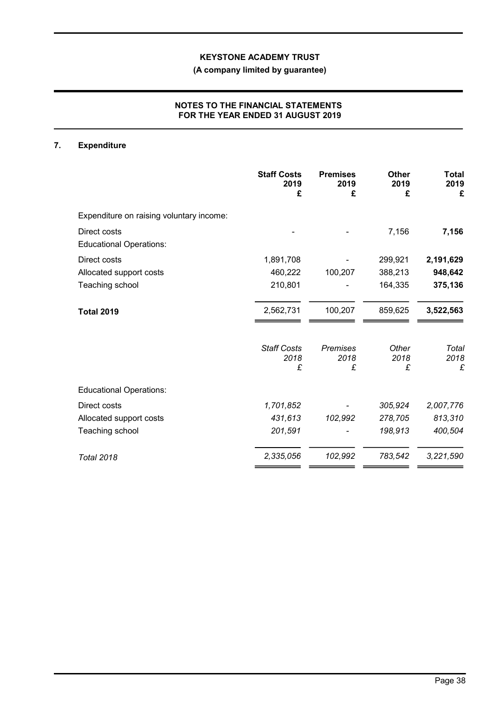# (A company limited by guarantee)

## NOTES TO THE FINANCIAL STATEMENTS FOR THE YEAR ENDED 31 AUGUST 2019

# 7. Expenditure

|                                                | <b>Staff Costs</b><br>2019<br>£ | <b>Premises</b><br>2019<br>£ | <b>Other</b><br>2019<br>£ | <b>Total</b><br>2019<br>£ |
|------------------------------------------------|---------------------------------|------------------------------|---------------------------|---------------------------|
| Expenditure on raising voluntary income:       |                                 |                              |                           |                           |
| Direct costs<br><b>Educational Operations:</b> |                                 |                              | 7,156                     | 7,156                     |
| Direct costs                                   | 1,891,708                       |                              | 299,921                   | 2,191,629                 |
| Allocated support costs                        | 460,222                         | 100,207                      | 388,213                   | 948,642                   |
| Teaching school                                | 210,801                         |                              | 164,335                   | 375,136                   |
| <b>Total 2019</b>                              | 2,562,731                       | 100,207                      | 859,625                   | 3,522,563                 |
|                                                | <b>Staff Costs</b><br>2018<br>£ | Premises<br>2018<br>£        | Other<br>2018<br>£        | Total<br>2018<br>£        |
|                                                |                                 |                              |                           |                           |
| <b>Educational Operations:</b>                 |                                 |                              |                           |                           |
| Direct costs                                   | 1,701,852                       |                              | 305,924                   | 2,007,776                 |
| Allocated support costs                        | 431,613                         | 102,992                      | 278,705                   | 813,310                   |
| Teaching school                                | 201,591                         |                              | 198,913                   | 400,504                   |
| <b>Total 2018</b>                              | 2,335,056                       | 102,992                      | 783,542                   | 3,221,590                 |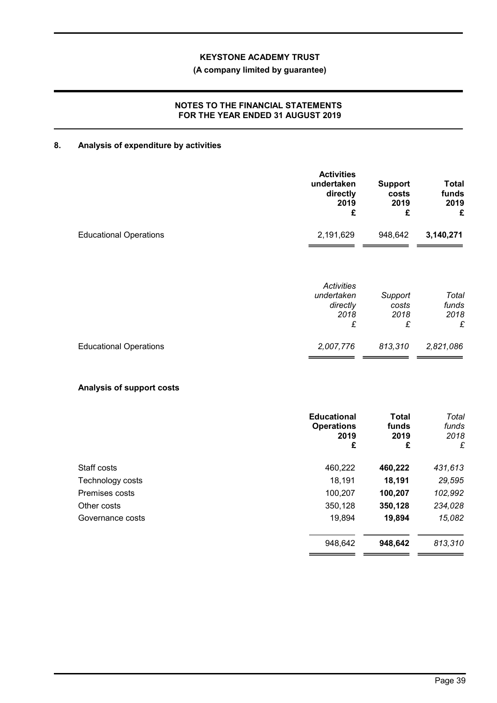# (A company limited by guarantee)

## NOTES TO THE FINANCIAL STATEMENTS FOR THE YEAR ENDED 31 AUGUST 2019

# 8. Analysis of expenditure by activities

|                                  | <b>Activities</b><br>undertaken<br>directly<br>2019<br>£ | <b>Support</b><br>costs<br>2019<br>£ | <b>Total</b><br>funds<br>2019<br>£ |
|----------------------------------|----------------------------------------------------------|--------------------------------------|------------------------------------|
| <b>Educational Operations</b>    | 2,191,629                                                | 948,642                              | 3,140,271                          |
|                                  | <b>Activities</b><br>undertaken<br>directly<br>2018<br>£ | Support<br>costs<br>2018<br>£        | Total<br>funds<br>2018<br>£        |
| <b>Educational Operations</b>    | 2,007,776                                                | 813,310                              | 2,821,086                          |
| <b>Analysis of support costs</b> |                                                          |                                      |                                    |
|                                  | <b>Educational</b><br><b>Operations</b><br>2019<br>£     | <b>Total</b><br>funds<br>2019<br>£   | Total<br>funds<br>2018<br>£        |
| Staff costs                      | 460,222                                                  | 460,222                              | 431,613                            |
| Technology costs                 | 18,191                                                   | 18,191                               | 29,595                             |
| Premises costs                   | 100,207                                                  | 100,207                              | 102,992                            |
| Other costs                      | 350,128                                                  | 350,128                              | 234,028                            |
| Governance costs                 | 19,894                                                   | 19,894                               | 15,082                             |
|                                  | 948,642                                                  | 948,642                              | 813,310                            |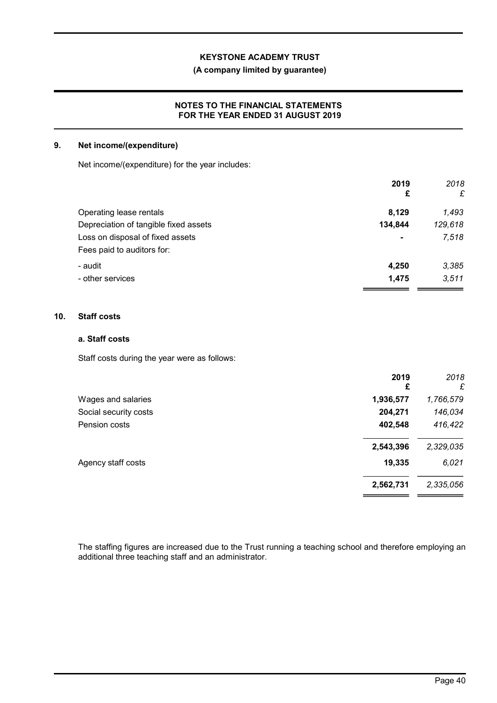## (A company limited by guarantee)

## NOTES TO THE FINANCIAL STATEMENTS FOR THE YEAR ENDED 31 AUGUST 2019

### 9. Net income/(expenditure)

Net income/(expenditure) for the year includes:

|                                       | 2019<br>£      | 2018<br>£ |
|---------------------------------------|----------------|-----------|
| Operating lease rentals               | 8,129          | 1,493     |
| Depreciation of tangible fixed assets | 134,844        | 129,618   |
| Loss on disposal of fixed assets      | $\blacksquare$ | 7,518     |
| Fees paid to auditors for:            |                |           |
| - audit                               | 4,250          | 3,385     |
| - other services                      | 1.475          | 3.511     |
|                                       |                |           |

### 10. Staff costs

# a. Staff costs

Staff costs during the year were as follows:

|                       | 2019<br>£ | 2018<br>£ |
|-----------------------|-----------|-----------|
| Wages and salaries    | 1,936,577 | 1,766,579 |
| Social security costs | 204,271   | 146,034   |
| Pension costs         | 402,548   | 416,422   |
|                       | 2,543,396 | 2,329,035 |
| Agency staff costs    | 19,335    | 6,021     |
|                       | 2,562,731 | 2,335,056 |
|                       |           |           |

The staffing figures are increased due to the Trust running a teaching school and therefore employing an additional three teaching staff and an administrator.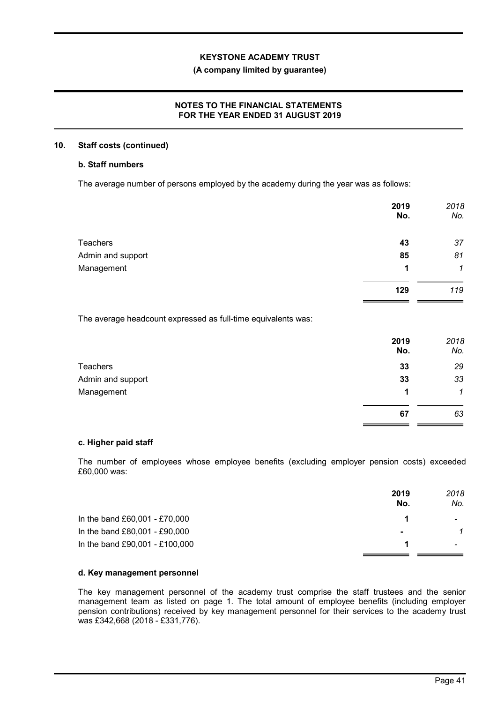#### (A company limited by guarantee)

## NOTES TO THE FINANCIAL STATEMENTS FOR THE YEAR ENDED 31 AUGUST 2019

#### 10. Staff costs (continued)

## b. Staff numbers

The average number of persons employed by the academy during the year was as follows:

| 2019<br>No. | 2018<br>No.  |
|-------------|--------------|
| 43          | 37           |
| 85          | 81           |
| 1           | $\mathcal I$ |
| 129         | 119          |
|             |              |

The average headcount expressed as full-time equivalents was:

|                   | 2019<br>No. | 2018<br>No.  |
|-------------------|-------------|--------------|
| <b>Teachers</b>   | 33          | 29           |
| Admin and support | 33          | 33           |
| Management        | 1           | $\mathcal I$ |
|                   | 67          | 63           |

#### c. Higher paid staff

The number of employees whose employee benefits (excluding employer pension costs) exceeded £60,000 was:

|                                | 2019<br>No.    | 2018<br>No. |
|--------------------------------|----------------|-------------|
| In the band £60,001 - £70,000  |                |             |
| In the band £80,001 - £90,000  | $\blacksquare$ |             |
| In the band £90,001 - £100,000 |                |             |

## d. Key management personnel

The key management personnel of the academy trust comprise the staff trustees and the senior management team as listed on page 1. The total amount of employee benefits (including employer pension contributions) received by key management personnel for their services to the academy trust was £342,668 (2018 - £331,776).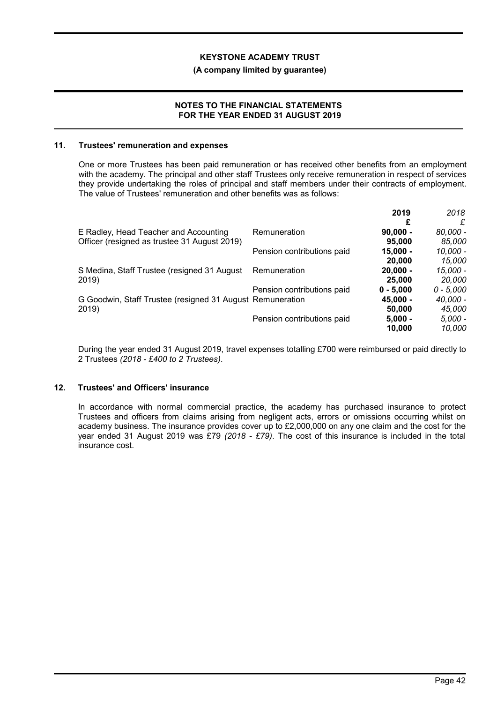#### (A company limited by guarantee)

#### NOTES TO THE FINANCIAL STATEMENTS FOR THE YEAR ENDED 31 AUGUST 2019

#### 11. Trustees' remuneration and expenses

One or more Trustees has been paid remuneration or has received other benefits from an employment with the academy. The principal and other staff Trustees only receive remuneration in respect of services they provide undertaking the roles of principal and staff members under their contracts of employment. The value of Trustees' remuneration and other benefits was as follows:

|                                                           |                            | 2019        | 2018        |
|-----------------------------------------------------------|----------------------------|-------------|-------------|
|                                                           |                            |             | £           |
| E Radley, Head Teacher and Accounting                     | Remuneration               | $90,000 -$  | 80,000 -    |
| Officer (resigned as trustee 31 August 2019)              |                            | 95,000      | 85,000      |
|                                                           | Pension contributions paid | $15,000 -$  | 10,000 -    |
|                                                           |                            | 20,000      | 15,000      |
| S Medina, Staff Trustee (resigned 31 August               | Remuneration               | $20.000 -$  | 15,000 -    |
| 2019)                                                     |                            | 25,000      | 20,000      |
|                                                           | Pension contributions paid | $0 - 5,000$ | $0 - 5,000$ |
| G Goodwin, Staff Trustee (resigned 31 August Remuneration |                            | 45.000 -    | 40,000 -    |
| 2019)                                                     |                            | 50,000      | 45,000      |
|                                                           | Pension contributions paid | $5,000 -$   | $5,000 -$   |
|                                                           |                            | 10.000      | 10.000      |

During the year ended 31 August 2019, travel expenses totalling £700 were reimbursed or paid directly to 2 Trustees (2018 - £400 to 2 Trustees).

# 12. Trustees' and Officers' insurance

In accordance with normal commercial practice, the academy has purchased insurance to protect Trustees and officers from claims arising from negligent acts, errors or omissions occurring whilst on academy business. The insurance provides cover up to £2,000,000 on any one claim and the cost for the year ended 31 August 2019 was £79 (2018 - £79). The cost of this insurance is included in the total insurance cost.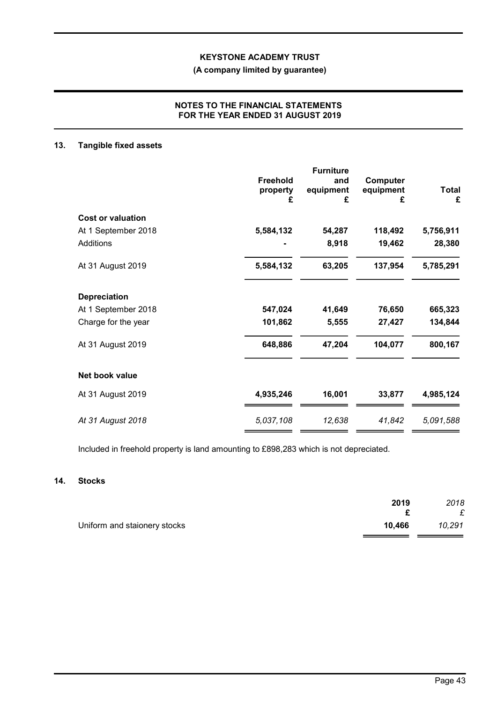# (A company limited by guarantee)

## NOTES TO THE FINANCIAL STATEMENTS FOR THE YEAR ENDED 31 AUGUST 2019

#### 13. Tangible fixed assets

|                          | Freehold<br>property<br>£ | <b>Furniture</b><br>and<br>equipment<br>£ | Computer<br>equipment<br>£ | <b>Total</b><br>£ |
|--------------------------|---------------------------|-------------------------------------------|----------------------------|-------------------|
| <b>Cost or valuation</b> |                           |                                           |                            |                   |
| At 1 September 2018      | 5,584,132                 | 54,287                                    | 118,492                    | 5,756,911         |
| Additions                |                           | 8,918                                     | 19,462                     | 28,380            |
| At 31 August 2019        | 5,584,132                 | 63,205                                    | 137,954                    | 5,785,291         |
| <b>Depreciation</b>      |                           |                                           |                            |                   |
| At 1 September 2018      | 547,024                   | 41,649                                    | 76,650                     | 665,323           |
| Charge for the year      | 101,862                   | 5,555                                     | 27,427                     | 134,844           |
| At 31 August 2019        | 648,886                   | 47,204                                    | 104,077                    | 800,167           |
| Net book value           |                           |                                           |                            |                   |
| At 31 August 2019        | 4,935,246                 | 16,001                                    | 33,877                     | 4,985,124         |
| At 31 August 2018        | 5,037,108                 | 12,638                                    | 41,842                     | 5,091,588         |

Included in freehold property is land amounting to £898,283 which is not depreciated.

# 14. Stocks

|                              | 2019   | 2018   |
|------------------------------|--------|--------|
|                              |        | £      |
| Uniform and staionery stocks | 10.466 | 10,291 |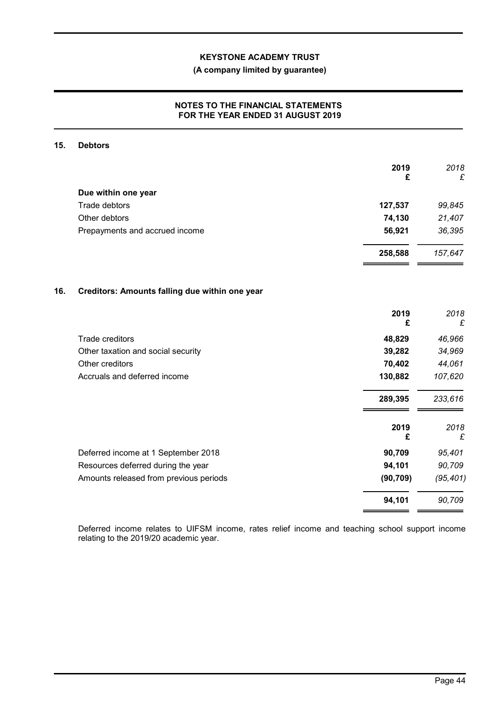# (A company limited by guarantee)

## NOTES TO THE FINANCIAL STATEMENTS FOR THE YEAR ENDED 31 AUGUST 2019

## 15. Debtors

|     |                                                | 2019<br>£ | 2018<br>£ |
|-----|------------------------------------------------|-----------|-----------|
|     | Due within one year                            |           |           |
|     | Trade debtors                                  | 127,537   | 99,845    |
|     | Other debtors                                  | 74,130    | 21,407    |
|     | Prepayments and accrued income                 | 56,921    | 36,395    |
|     |                                                | 258,588   | 157,647   |
| 16. | Creditors: Amounts falling due within one year |           |           |
|     |                                                | 2019<br>£ | 2018<br>£ |
|     | Trade creditors                                | 48,829    | 46,966    |
|     | Other taxation and social security             | 39,282    | 34,969    |
|     | Other creditors                                | 70,402    | 44,061    |
|     | Accruals and deferred income                   | 130,882   | 107,620   |
|     |                                                | 289,395   | 233,616   |
|     |                                                | 2019<br>£ | 2018<br>£ |
|     | Deferred income at 1 September 2018            | 90,709    | 95,401    |
|     | Resources deferred during the year             | 94,101    | 90,709    |
|     | Amounts released from previous periods         | (90, 709) | (95, 401) |
|     |                                                | 94,101    | 90,709    |

Deferred income relates to UIFSM income, rates relief income and teaching school support income relating to the 2019/20 academic year.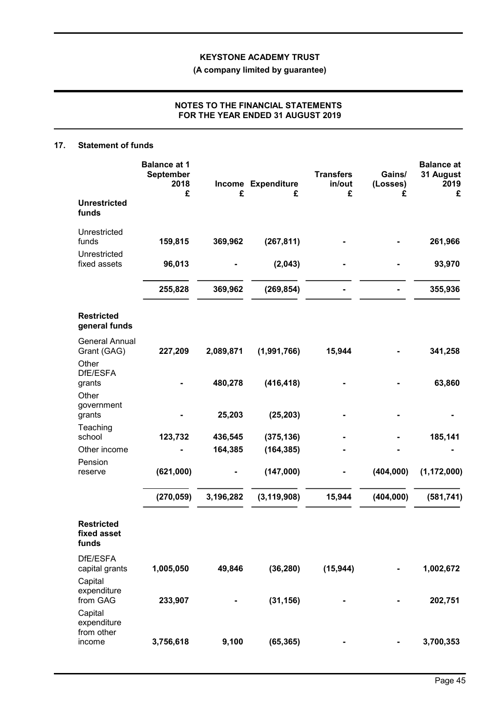(A company limited by guarantee)

# NOTES TO THE FINANCIAL STATEMENTS FOR THE YEAR ENDED 31 AUGUST 2019

### 17. Statement of funds

|                                               | <b>Balance at 1</b><br>September<br>2018<br>£ | £         | Income Expenditure<br>£ | <b>Transfers</b><br>in/out<br>£ | Gains/<br>(Losses)<br>£ | <b>Balance</b> at<br>31 August<br>2019<br>£ |
|-----------------------------------------------|-----------------------------------------------|-----------|-------------------------|---------------------------------|-------------------------|---------------------------------------------|
| <b>Unrestricted</b><br>funds                  |                                               |           |                         |                                 |                         |                                             |
| Unrestricted<br>funds                         | 159,815                                       | 369,962   | (267, 811)              |                                 |                         | 261,966                                     |
| Unrestricted<br>fixed assets                  | 96,013                                        |           | (2,043)                 |                                 |                         | 93,970                                      |
|                                               | 255,828                                       | 369,962   | (269, 854)              |                                 |                         | 355,936                                     |
| <b>Restricted</b><br>general funds            |                                               |           |                         |                                 |                         |                                             |
| <b>General Annual</b><br>Grant (GAG)          | 227,209                                       | 2,089,871 | (1,991,766)             | 15,944                          |                         | 341,258                                     |
| Other<br>DfE/ESFA<br>grants<br>Other          |                                               | 480,278   | (416, 418)              |                                 |                         | 63,860                                      |
| government<br>grants                          |                                               | 25,203    | (25, 203)               |                                 |                         |                                             |
| Teaching<br>school                            | 123,732                                       | 436,545   | (375, 136)              |                                 |                         | 185,141                                     |
| Other income                                  |                                               | 164,385   | (164, 385)              |                                 |                         |                                             |
| Pension<br>reserve                            | (621,000)                                     |           | (147,000)               |                                 | (404, 000)              | (1, 172, 000)                               |
|                                               | (270, 059)                                    | 3,196,282 | (3, 119, 908)           | 15,944                          | (404, 000)              | (581, 741)                                  |
| <b>Restricted</b><br>fixed asset<br>funds     |                                               |           |                         |                                 |                         |                                             |
| DfE/ESFA<br>capital grants                    | 1,005,050                                     | 49,846    | (36, 280)               | (15, 944)                       |                         | 1,002,672                                   |
| Capital<br>expenditure<br>from GAG<br>Capital | 233,907                                       |           | (31, 156)               |                                 |                         | 202,751                                     |
| expenditure<br>from other<br>income           | 3,756,618                                     | 9,100     | (65, 365)               |                                 |                         | 3,700,353                                   |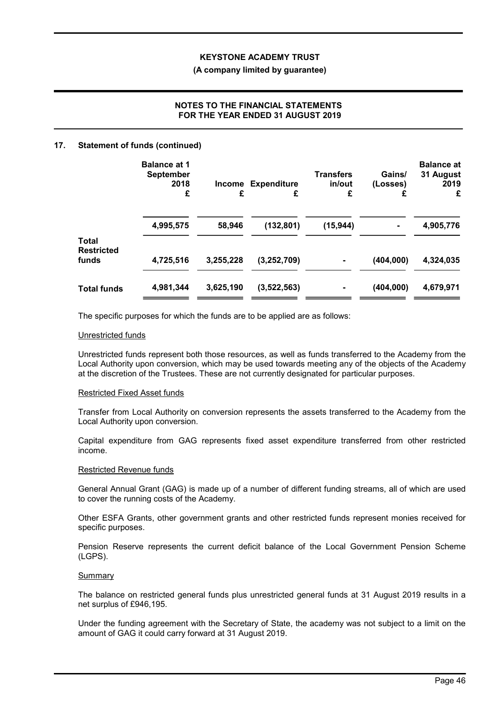#### (A company limited by guarantee)

# NOTES TO THE FINANCIAL STATEMENTS FOR THE YEAR ENDED 31 AUGUST 2019

#### 17. Statement of funds (continued)

|                            | <b>Balance at 1</b><br><b>September</b><br>2018<br>£ | £         | <b>Income Expenditure</b><br>£ | <b>Transfers</b><br>in/out<br>£ | Gains/<br>(Losses)<br>£ | <b>Balance at</b><br>31 August<br>2019<br>£ |
|----------------------------|------------------------------------------------------|-----------|--------------------------------|---------------------------------|-------------------------|---------------------------------------------|
| <b>Total</b>               | 4,995,575                                            | 58,946    | (132, 801)                     | (15, 944)                       |                         | 4,905,776                                   |
| <b>Restricted</b><br>funds | 4,725,516                                            | 3,255,228 | (3, 252, 709)                  |                                 | (404,000)               | 4,324,035                                   |
| <b>Total funds</b>         | 4,981,344                                            | 3,625,190 | (3,522,563)                    |                                 | (404,000)               | 4,679,971                                   |

The specific purposes for which the funds are to be applied are as follows:

#### Unrestricted funds

Unrestricted funds represent both those resources, as well as funds transferred to the Academy from the Local Authority upon conversion, which may be used towards meeting any of the objects of the Academy at the discretion of the Trustees. These are not currently designated for particular purposes.

#### Restricted Fixed Asset funds

Transfer from Local Authority on conversion represents the assets transferred to the Academy from the Local Authority upon conversion.

Capital expenditure from GAG represents fixed asset expenditure transferred from other restricted income.

#### Restricted Revenue funds

General Annual Grant (GAG) is made up of a number of different funding streams, all of which are used to cover the running costs of the Academy.

Other ESFA Grants, other government grants and other restricted funds represent monies received for specific purposes.

Pension Reserve represents the current deficit balance of the Local Government Pension Scheme (LGPS).

#### Summary

The balance on restricted general funds plus unrestricted general funds at 31 August 2019 results in a net surplus of £946,195.

Under the funding agreement with the Secretary of State, the academy was not subject to a limit on the amount of GAG it could carry forward at 31 August 2019.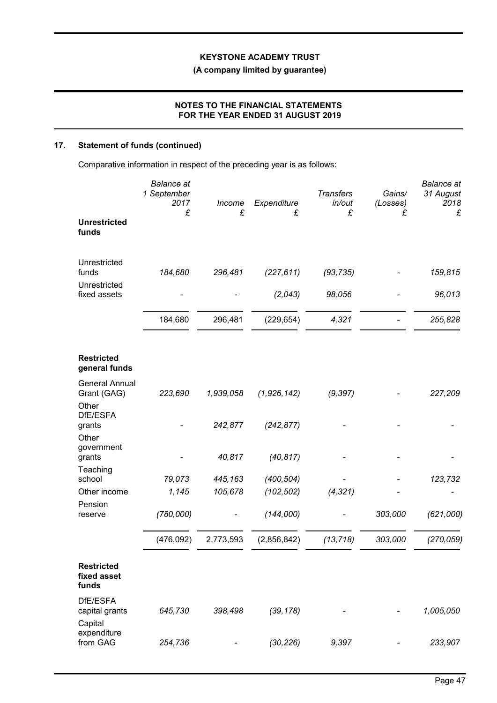# (A company limited by guarantee)

## NOTES TO THE FINANCIAL STATEMENTS FOR THE YEAR ENDED 31 AUGUST 2019

# 17. Statement of funds (continued)

Comparative information in respect of the preceding year is as follows:

|                                           | <b>Balance</b> at<br>1 September<br>2017<br>£ | Income<br>£ | Expenditure<br>£ | <b>Transfers</b><br>in/out<br>£ | Gains/<br>(Losses)<br>£ | <b>Balance</b> at<br>31 August<br>2018<br>£ |
|-------------------------------------------|-----------------------------------------------|-------------|------------------|---------------------------------|-------------------------|---------------------------------------------|
| <b>Unrestricted</b><br>funds              |                                               |             |                  |                                 |                         |                                             |
| Unrestricted<br>funds                     | 184,680                                       | 296,481     | (227, 611)       | (93, 735)                       |                         | 159,815                                     |
| Unrestricted<br>fixed assets              |                                               |             | (2,043)          | 98,056                          |                         | 96,013                                      |
|                                           | 184,680                                       | 296,481     | (229, 654)       | 4,321                           |                         | 255,828                                     |
| <b>Restricted</b><br>general funds        |                                               |             |                  |                                 |                         |                                             |
| <b>General Annual</b><br>Grant (GAG)      | 223,690                                       | 1,939,058   | (1,926,142)      | (9, 397)                        |                         | 227,209                                     |
| Other<br>DfE/ESFA<br>grants<br>Other      |                                               | 242,877     | (242, 877)       |                                 |                         |                                             |
| government<br>grants                      |                                               | 40,817      | (40, 817)        |                                 |                         |                                             |
| Teaching<br>school                        | 79,073                                        | 445,163     | (400, 504)       |                                 |                         | 123,732                                     |
| Other income                              | 1,145                                         | 105,678     | (102, 502)       | (4, 321)                        |                         |                                             |
| Pension<br>reserve                        | (780,000)                                     |             | (144,000)        |                                 | 303,000                 | (621,000)                                   |
|                                           | (476,092)                                     | 2,773,593   | (2,856,842)      | (13, 718)                       | 303,000                 | (270, 059)                                  |
| <b>Restricted</b><br>fixed asset<br>funds |                                               |             |                  |                                 |                         |                                             |
| DfE/ESFA<br>capital grants<br>Capital     | 645,730                                       | 398,498     | (39, 178)        |                                 |                         | 1,005,050                                   |
| expenditure<br>from GAG                   | 254,736                                       |             | (30, 226)        | 9,397                           |                         | 233,907                                     |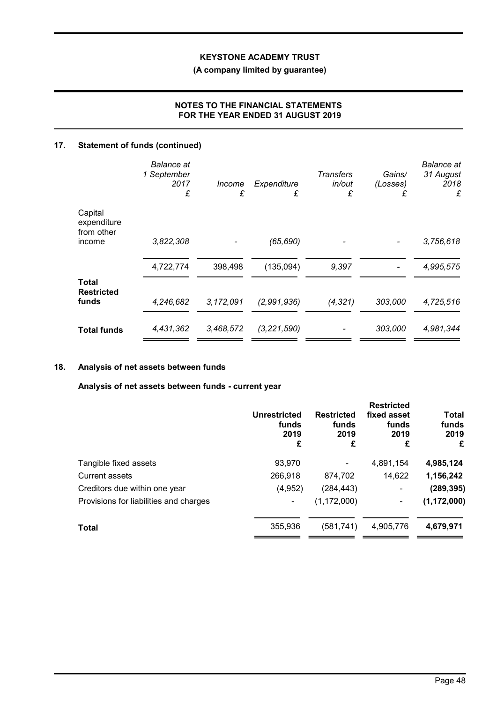# (A company limited by guarantee)

# NOTES TO THE FINANCIAL STATEMENTS FOR THE YEAR ENDED 31 AUGUST 2019

# 17. Statement of funds (continued)

|                                      | <b>Balance</b> at<br>1 September<br>2017<br>£ | Income<br>£ | Expenditure<br>£ | <b>Transfers</b><br>in/out<br>£ | Gains/<br>(Losses)<br>£ | <b>Balance</b> at<br>31 August<br>2018<br>£ |
|--------------------------------------|-----------------------------------------------|-------------|------------------|---------------------------------|-------------------------|---------------------------------------------|
| Capital<br>expenditure<br>from other |                                               |             |                  |                                 |                         |                                             |
| income                               | 3,822,308                                     |             | (65, 690)        |                                 |                         | 3,756,618                                   |
|                                      | 4,722,774                                     | 398,498     | (135,094)        | 9,397                           |                         | 4,995,575                                   |
| Total<br><b>Restricted</b>           |                                               |             |                  |                                 |                         |                                             |
| funds                                | 4,246,682                                     | 3,172,091   | (2,991,936)      | (4, 321)                        | 303,000                 | 4,725,516                                   |
| <b>Total funds</b>                   | 4,431,362                                     | 3,468,572   | (3, 221, 590)    |                                 | 303,000                 | 4,981,344                                   |

# 18. Analysis of net assets between funds

Analysis of net assets between funds - current year

|                                        | <b>Unrestricted</b><br>funds<br>2019<br>£ | <b>Restricted</b><br>funds<br>2019<br>£ | <b>Restricted</b><br>fixed asset<br>funds<br>2019<br>£ | <b>Total</b><br>funds<br>2019<br>£ |
|----------------------------------------|-------------------------------------------|-----------------------------------------|--------------------------------------------------------|------------------------------------|
| Tangible fixed assets                  | 93,970                                    |                                         | 4,891,154                                              | 4,985,124                          |
| <b>Current assets</b>                  | 266,918                                   | 874,702                                 | 14,622                                                 | 1,156,242                          |
| Creditors due within one year          | (4,952)                                   | (284, 443)                              | $\blacksquare$                                         | (289, 395)                         |
| Provisions for liabilities and charges |                                           | (1, 172, 000)                           | ۰                                                      | (1, 172, 000)                      |
| <b>Total</b>                           | 355,936                                   | (581,741)                               | 4,905,776                                              | 4,679,971                          |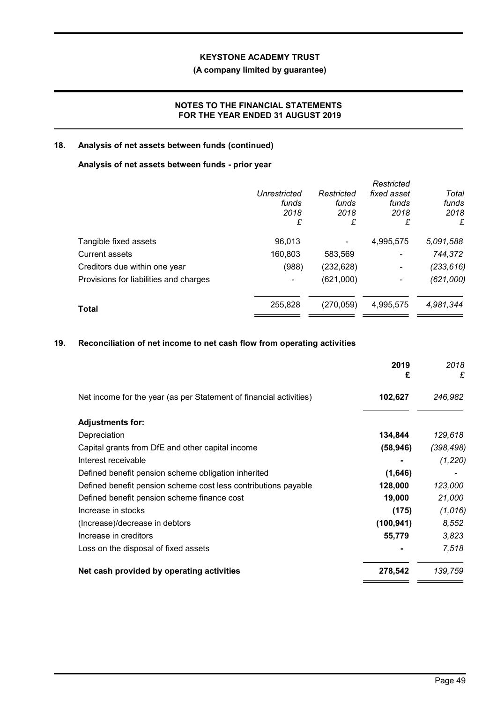# (A company limited by guarantee)

## NOTES TO THE FINANCIAL STATEMENTS FOR THE YEAR ENDED 31 AUGUST 2019

## 18. Analysis of net assets between funds (continued)

## Analysis of net assets between funds - prior year

|                                        |                          |            | Restricted     |            |
|----------------------------------------|--------------------------|------------|----------------|------------|
|                                        | Unrestricted             | Restricted | fixed asset    | Total      |
|                                        | funds                    | funds      | funds          | funds      |
|                                        | 2018                     | 2018       | 2018           | 2018       |
|                                        | £                        | £          | £              | £          |
| Tangible fixed assets                  | 96,013                   |            | 4,995,575      | 5,091,588  |
| <b>Current assets</b>                  | 160,803                  | 583,569    | $\blacksquare$ | 744,372    |
| Creditors due within one year          | (988)                    | (232, 628) | $\blacksquare$ | (233, 616) |
| Provisions for liabilities and charges | $\overline{\phantom{0}}$ | (621,000)  | -              | (621,000)  |
| Total                                  | 255,828                  | (270, 059) | 4,995,575      | 4,981,344  |
|                                        |                          |            |                |            |

# 19. Reconciliation of net income to net cash flow from operating activities

|                                                                    | 2019<br>£  | 2018<br>£  |
|--------------------------------------------------------------------|------------|------------|
| Net income for the year (as per Statement of financial activities) | 102,627    | 246,982    |
| <b>Adjustments for:</b>                                            |            |            |
| Depreciation                                                       | 134,844    | 129,618    |
| Capital grants from DfE and other capital income                   | (58, 946)  | (398, 498) |
| Interest receivable                                                |            | (1, 220)   |
| Defined benefit pension scheme obligation inherited                | (1,646)    |            |
| Defined benefit pension scheme cost less contributions payable     | 128,000    | 123,000    |
| Defined benefit pension scheme finance cost                        | 19,000     | 21,000     |
| Increase in stocks                                                 | (175)      | (1,016)    |
| (Increase)/decrease in debtors                                     | (100, 941) | 8,552      |
| Increase in creditors                                              | 55,779     | 3,823      |
| Loss on the disposal of fixed assets                               |            | 7,518      |
| Net cash provided by operating activities                          | 278,542    | 139,759    |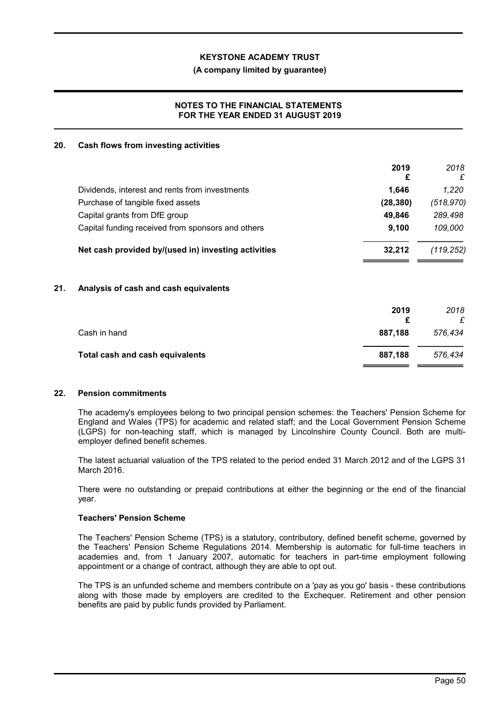#### (A company limited by guarantee)

## NOTES TO THE FINANCIAL STATEMENTS FOR THE YEAR ENDED 31 AUGUST 2019

#### 20. Cash flows from investing activities

|                                                     | 2019<br>£ | 2018<br>£  |
|-----------------------------------------------------|-----------|------------|
| Dividends, interest and rents from investments      | 1.646     | 1.220      |
| Purchase of tangible fixed assets                   | (28, 380) | (518, 970) |
| Capital grants from DfE group                       | 49.846    | 289,498    |
| Capital funding received from sponsors and others   | 9.100     | 109,000    |
| Net cash provided by/(used in) investing activities | 32.212    | (119, 252) |

## 21. Analysis of cash and cash equivalents

|                                 | 2019    | 2018<br>£ |
|---------------------------------|---------|-----------|
| Cash in hand                    | 887.188 | 576.434   |
| Total cash and cash equivalents | 887.188 | 576.434   |

#### 22. Pension commitments

The academy's employees belong to two principal pension schemes: the Teachers' Pension Scheme for England and Wales (TPS) for academic and related staff; and the Local Government Pension Scheme (LGPS) for non-teaching staff, which is managed by Lincolnshire County Council. Both are multiemployer defined benefit schemes.

The latest actuarial valuation of the TPS related to the period ended 31 March 2012 and of the LGPS 31 March 2016.

There were no outstanding or prepaid contributions at either the beginning or the end of the financial year.

#### Teachers' Pension Scheme

The Teachers' Pension Scheme (TPS) is a statutory, contributory, defined benefit scheme, governed by the Teachers' Pension Scheme Regulations 2014. Membership is automatic for full-time teachers in academies and, from 1 January 2007, automatic for teachers in part-time employment following appointment or a change of contract, although they are able to opt out.

The TPS is an unfunded scheme and members contribute on a 'pay as you go' basis - these contributions along with those made by employers are credited to the Exchequer. Retirement and other pension benefits are paid by public funds provided by Parliament.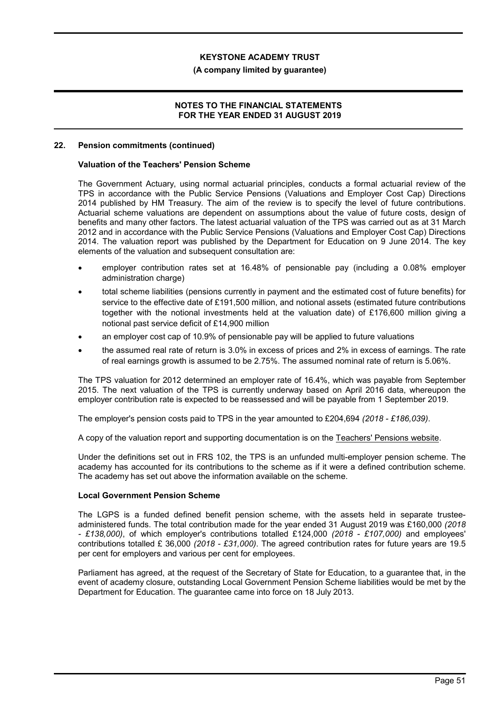#### (A company limited by guarantee)

#### NOTES TO THE FINANCIAL STATEMENTS FOR THE YEAR ENDED 31 AUGUST 2019

#### 22. Pension commitments (continued)

#### Valuation of the Teachers' Pension Scheme

The Government Actuary, using normal actuarial principles, conducts a formal actuarial review of the TPS in accordance with the Public Service Pensions (Valuations and Employer Cost Cap) Directions 2014 published by HM Treasury. The aim of the review is to specify the level of future contributions. Actuarial scheme valuations are dependent on assumptions about the value of future costs, design of benefits and many other factors. The latest actuarial valuation of the TPS was carried out as at 31 March 2012 and in accordance with the Public Service Pensions (Valuations and Employer Cost Cap) Directions 2014. The valuation report was published by the Department for Education on 9 June 2014. The key elements of the valuation and subsequent consultation are:

- employer contribution rates set at 16.48% of pensionable pay (including a 0.08% employer administration charge)
- total scheme liabilities (pensions currently in payment and the estimated cost of future benefits) for service to the effective date of £191,500 million, and notional assets (estimated future contributions together with the notional investments held at the valuation date) of £176,600 million giving a notional past service deficit of £14,900 million
- an employer cost cap of 10.9% of pensionable pay will be applied to future valuations
- the assumed real rate of return is 3.0% in excess of prices and 2% in excess of earnings. The rate of real earnings growth is assumed to be 2.75%. The assumed nominal rate of return is 5.06%.

The TPS valuation for 2012 determined an employer rate of 16.4%, which was payable from September 2015. The next valuation of the TPS is currently underway based on April 2016 data, whereupon the employer contribution rate is expected to be reassessed and will be payable from 1 September 2019.

The employer's pension costs paid to TPS in the year amounted to £204,694 (2018 - £186,039).

A copy of the valuation report and supporting documentation is on the Teachers' Pensions website.

Under the definitions set out in FRS 102, the TPS is an unfunded multi-employer pension scheme. The academy has accounted for its contributions to the scheme as if it were a defined contribution scheme. The academy has set out above the information available on the scheme.

#### Local Government Pension Scheme

The LGPS is a funded defined benefit pension scheme, with the assets held in separate trusteeadministered funds. The total contribution made for the year ended 31 August 2019 was £160,000 (2018 - £138,000), of which employer's contributions totalled £124,000 (2018 - £107,000) and employees' contributions totalled £ 36,000 (2018 - £31,000). The agreed contribution rates for future years are 19.5 per cent for employers and various per cent for employees.

Parliament has agreed, at the request of the Secretary of State for Education, to a guarantee that, in the event of academy closure, outstanding Local Government Pension Scheme liabilities would be met by the Department for Education. The guarantee came into force on 18 July 2013.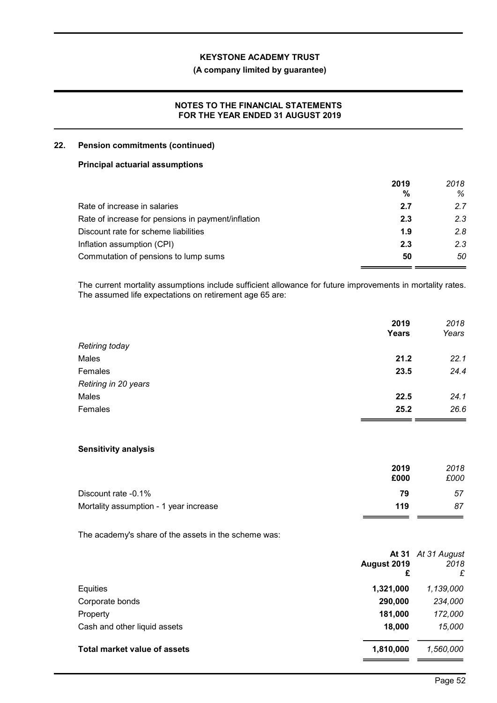## (A company limited by guarantee)

## NOTES TO THE FINANCIAL STATEMENTS FOR THE YEAR ENDED 31 AUGUST 2019

## 22. Pension commitments (continued)

#### Principal actuarial assumptions

|                                                    | 2019 | 2018 |
|----------------------------------------------------|------|------|
|                                                    | %    | ℅    |
| Rate of increase in salaries                       | 2.7  | 2.7  |
| Rate of increase for pensions in payment/inflation | 2.3  | 2.3  |
| Discount rate for scheme liabilities               | 1.9  | 2.8  |
| Inflation assumption (CPI)                         | 2.3  | 2.3  |
| Commutation of pensions to lump sums               | 50   | 50   |

The current mortality assumptions include sufficient allowance for future improvements in mortality rates. The assumed life expectations on retirement age 65 are:

|                       | 2019<br><b>Years</b> | 2018<br>Years |
|-----------------------|----------------------|---------------|
| <b>Retiring today</b> |                      |               |
| Males                 | 21.2                 | 22.1          |
| Females               | 23.5                 | 24.4          |
| Retiring in 20 years  |                      |               |
| Males                 | 22.5                 | 24.1          |
| Females               | 25.2                 | 26.6          |

#### Sensitivity analysis

|                                        | 2019 | 2018 |
|----------------------------------------|------|------|
|                                        | £000 | £000 |
| Discount rate -0.1%                    | 79   | 57   |
| Mortality assumption - 1 year increase | 119  | 87   |

The academy's share of the assets in the scheme was:

|                                     | August 2019<br>£ | At 31 At 31 August<br>2018<br>£ |
|-------------------------------------|------------------|---------------------------------|
| Equities                            | 1,321,000        | 1,139,000                       |
| Corporate bonds                     | 290,000          | 234,000                         |
| Property                            | 181,000          | 172,000                         |
| Cash and other liquid assets        | 18,000           | 15,000                          |
| <b>Total market value of assets</b> | 1,810,000        | 1,560,000                       |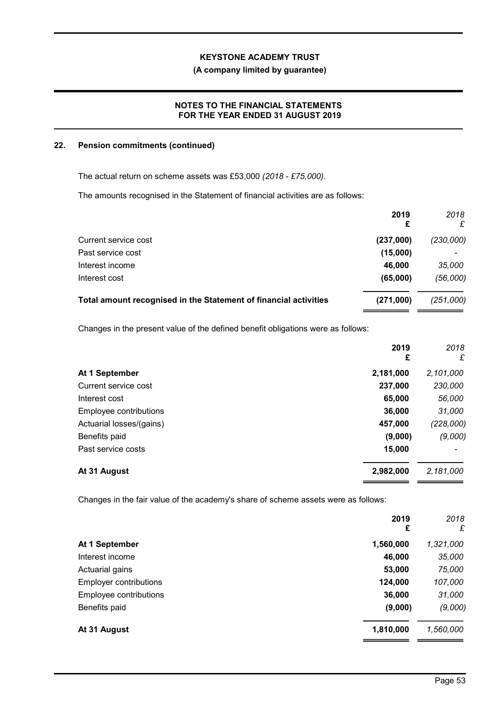#### (A company limited by guarantee)

## NOTES TO THE FINANCIAL STATEMENTS FOR THE YEAR ENDED 31 AUGUST 2019

### 22. Pension commitments (continued)

The actual return on scheme assets was £53,000 (2018 - £75,000).

The amounts recognised in the Statement of financial activities are as follows:

|                                                                  | 2019<br>£ | 2018<br>£ |
|------------------------------------------------------------------|-----------|-----------|
| Current service cost                                             | (237,000) | (230,000) |
| Past service cost                                                | (15,000)  |           |
| Interest income                                                  | 46,000    | 35,000    |
| Interest cost                                                    | (65,000)  | (56,000)  |
| Total amount recognised in the Statement of financial activities | (271,000) | (251,000) |
|                                                                  |           |           |

Changes in the present value of the defined benefit obligations were as follows:

|                          | 2019<br>£ | 2018<br>£ |
|--------------------------|-----------|-----------|
| At 1 September           | 2,181,000 | 2,101,000 |
| Current service cost     | 237,000   | 230,000   |
| Interest cost            | 65,000    | 56,000    |
| Employee contributions   | 36,000    | 31,000    |
| Actuarial losses/(gains) | 457,000   | (228,000) |
| Benefits paid            | (9,000)   | (9,000)   |
| Past service costs       | 15,000    |           |
| At 31 August             | 2,982,000 | 2,181,000 |

Changes in the fair value of the academy's share of scheme assets were as follows:

|                               | 2019<br>£ | 2018<br>£ |
|-------------------------------|-----------|-----------|
| At 1 September                | 1,560,000 | 1,321,000 |
| Interest income               | 46,000    | 35,000    |
| Actuarial gains               | 53,000    | 75,000    |
| <b>Employer contributions</b> | 124,000   | 107,000   |
| Employee contributions        | 36,000    | 31,000    |
| Benefits paid                 | (9,000)   | (9,000)   |
| At 31 August                  | 1,810,000 | 1,560,000 |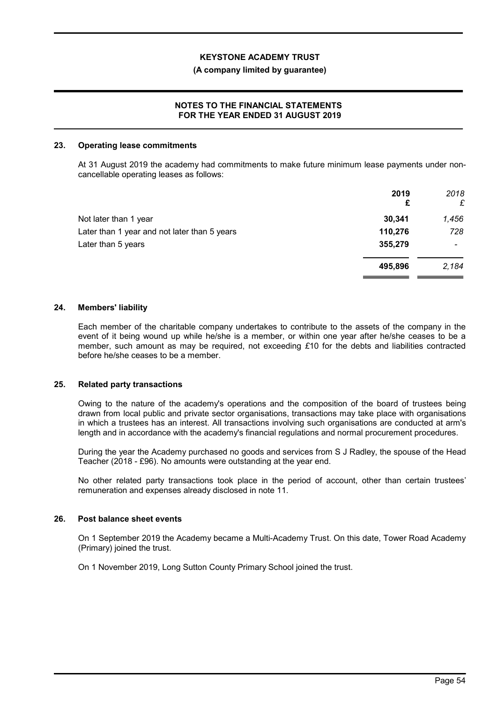#### (A company limited by guarantee)

## NOTES TO THE FINANCIAL STATEMENTS FOR THE YEAR ENDED 31 AUGUST 2019

#### 23. Operating lease commitments

At 31 August 2019 the academy had commitments to make future minimum lease payments under noncancellable operating leases as follows:

|                                              | 2019<br>£ | 2018<br>£                |
|----------------------------------------------|-----------|--------------------------|
| Not later than 1 year                        | 30,341    | 1,456                    |
| Later than 1 year and not later than 5 years | 110,276   | 728                      |
| Later than 5 years                           | 355,279   | $\overline{\phantom{0}}$ |
|                                              | 495,896   | 2,184                    |

#### 24. Members' liability

Each member of the charitable company undertakes to contribute to the assets of the company in the event of it being wound up while he/she is a member, or within one year after he/she ceases to be a member, such amount as may be required, not exceeding  $£10$  for the debts and liabilities contracted before he/she ceases to be a member.

#### 25. Related party transactions

Owing to the nature of the academy's operations and the composition of the board of trustees being drawn from local public and private sector organisations, transactions may take place with organisations in which a trustees has an interest. All transactions involving such organisations are conducted at arm's length and in accordance with the academy's financial regulations and normal procurement procedures.

During the year the Academy purchased no goods and services from S J Radley, the spouse of the Head Teacher (2018 - £96). No amounts were outstanding at the year end.

No other related party transactions took place in the period of account, other than certain trustees' remuneration and expenses already disclosed in note 11.

## 26. Post balance sheet events

On 1 September 2019 the Academy became a Multi-Academy Trust. On this date, Tower Road Academy (Primary) joined the trust.

On 1 November 2019, Long Sutton County Primary School joined the trust.